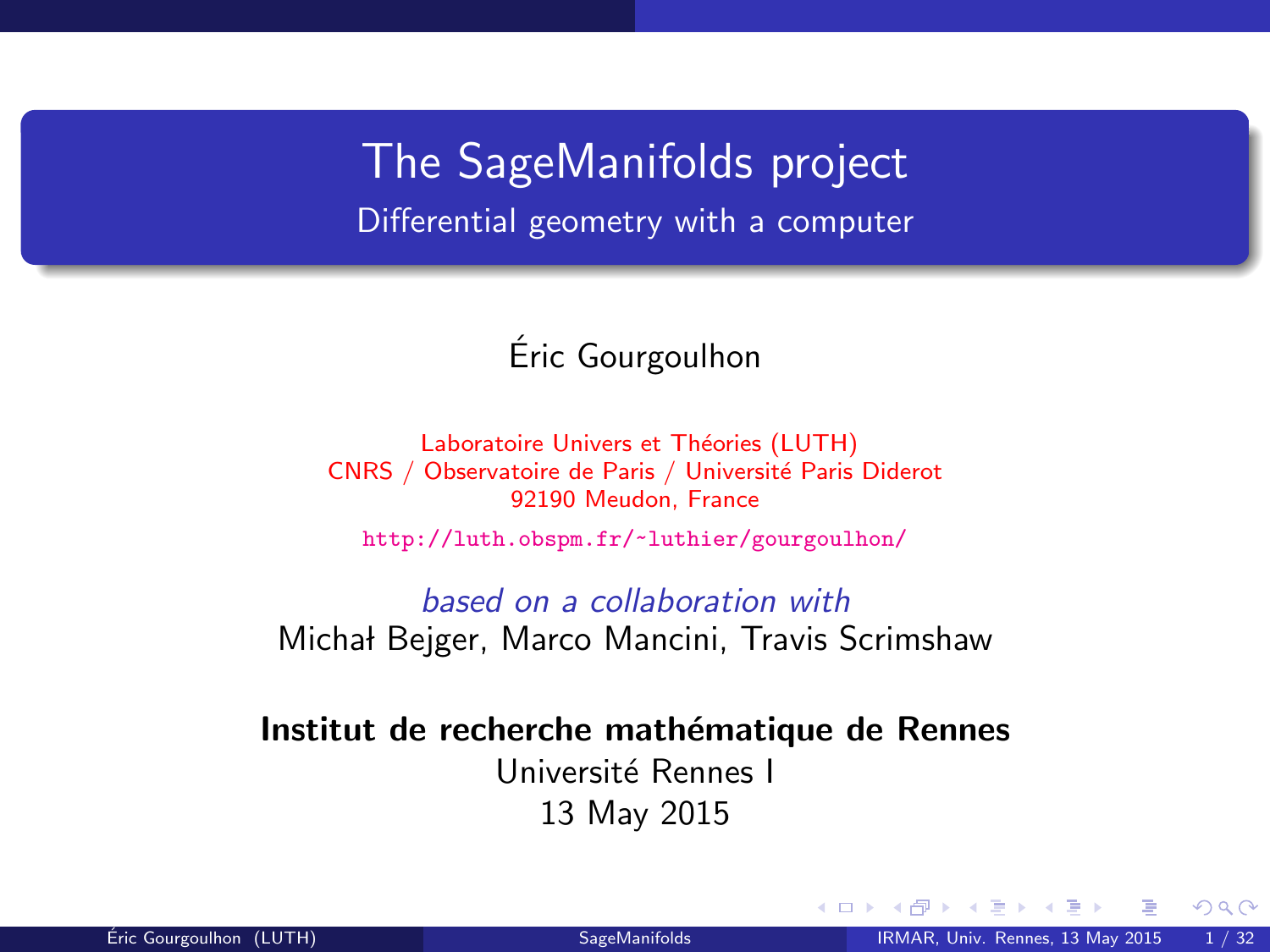The SageManifolds project Differential geometry with a computer

#### Eric Gourgoulhon ´

Laboratoire Univers et Théories (LUTH) CNRS / Observatoire de Paris / Université Paris Diderot 92190 Meudon, France

<http://luth.obspm.fr/~luthier/gourgoulhon/>

based on a collaboration with Michał Bejger, Marco Mancini, Travis Scrimshaw

Institut de recherche mathématique de Rennes Université Rennes I 13 May 2015

<span id="page-0-0"></span> $\Omega$ 

4 0 8 4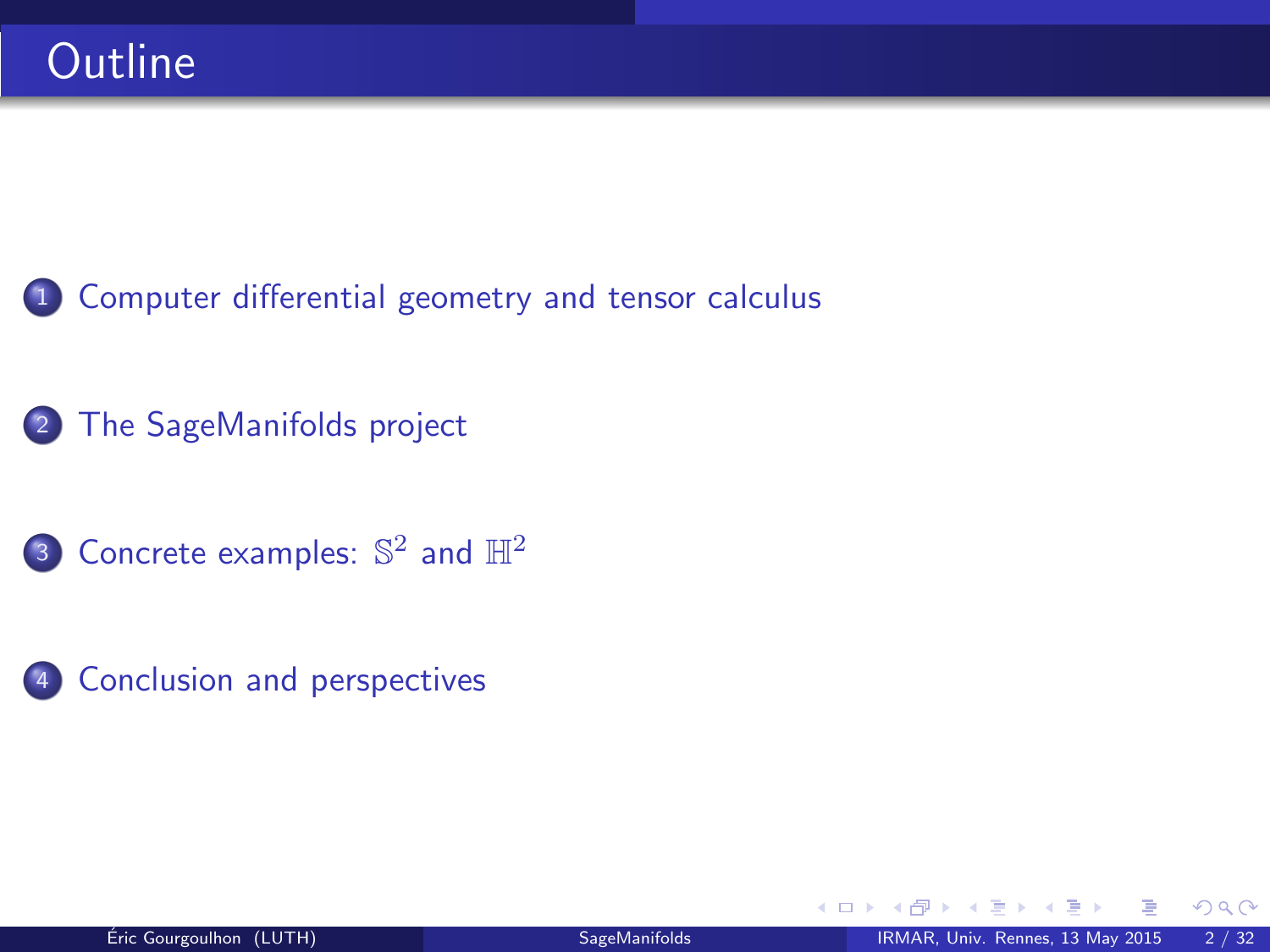- <sup>1</sup> [Computer differential geometry and tensor calculus](#page-2-0)
- <sup>2</sup> [The SageManifolds project](#page-17-0)
- 3 [Concrete examples:](#page-38-0)  $\mathbb{S}^2$  and  $\mathbb{H}^2$
- 4 [Conclusion and perspectives](#page-41-0)

4 0 8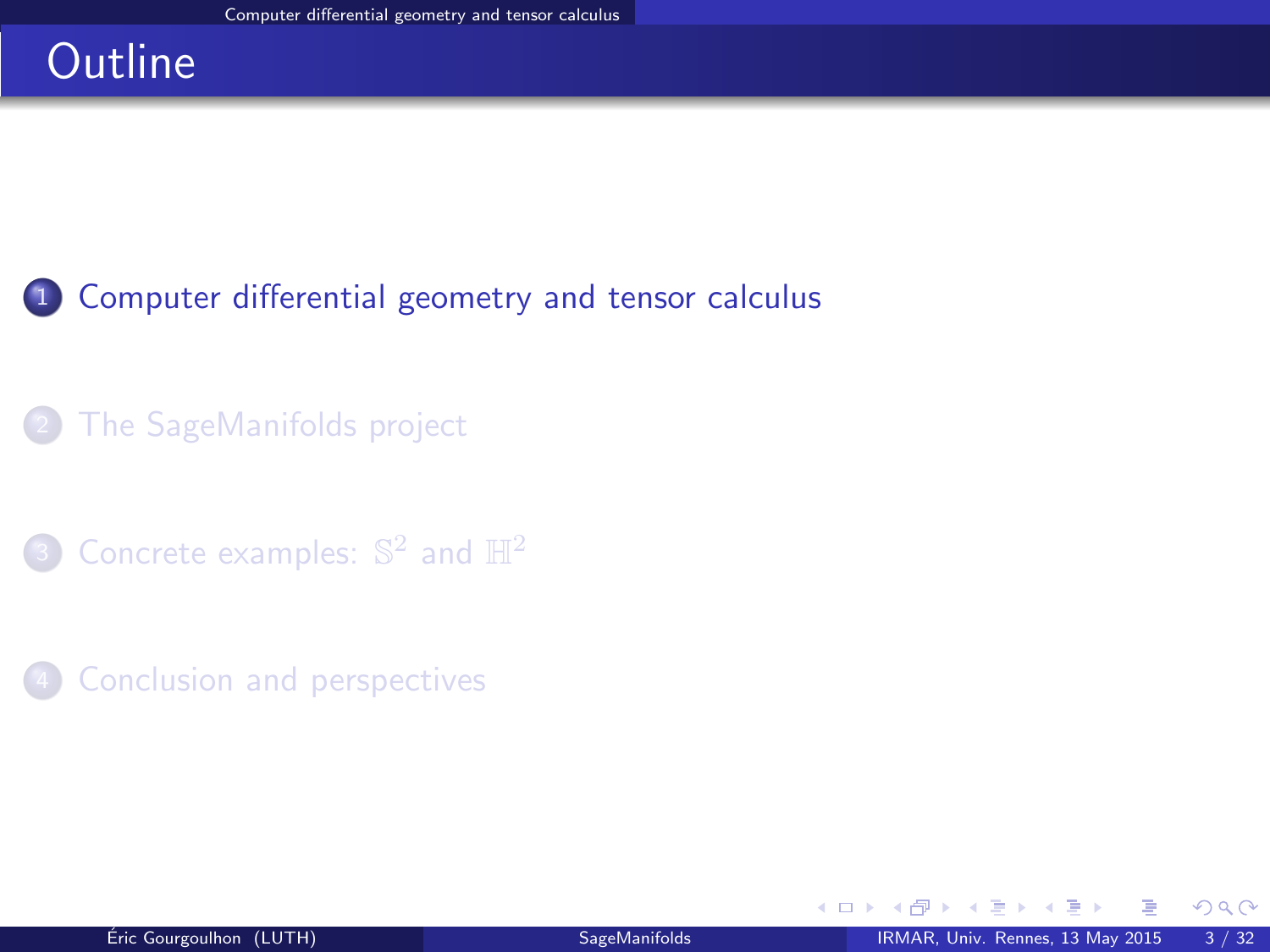# **Outline**

### <sup>1</sup> [Computer differential geometry and tensor calculus](#page-2-0)

### [The SageManifolds project](#page-17-0)

3 [Concrete examples:](#page-38-0)  $\mathbb{S}^2$  and  $\mathbb{H}^2$ 

#### **[Conclusion and perspectives](#page-41-0)**

<span id="page-2-0"></span> $298$ 

э  $\sim$ 

**← ロ ▶ → イ 同**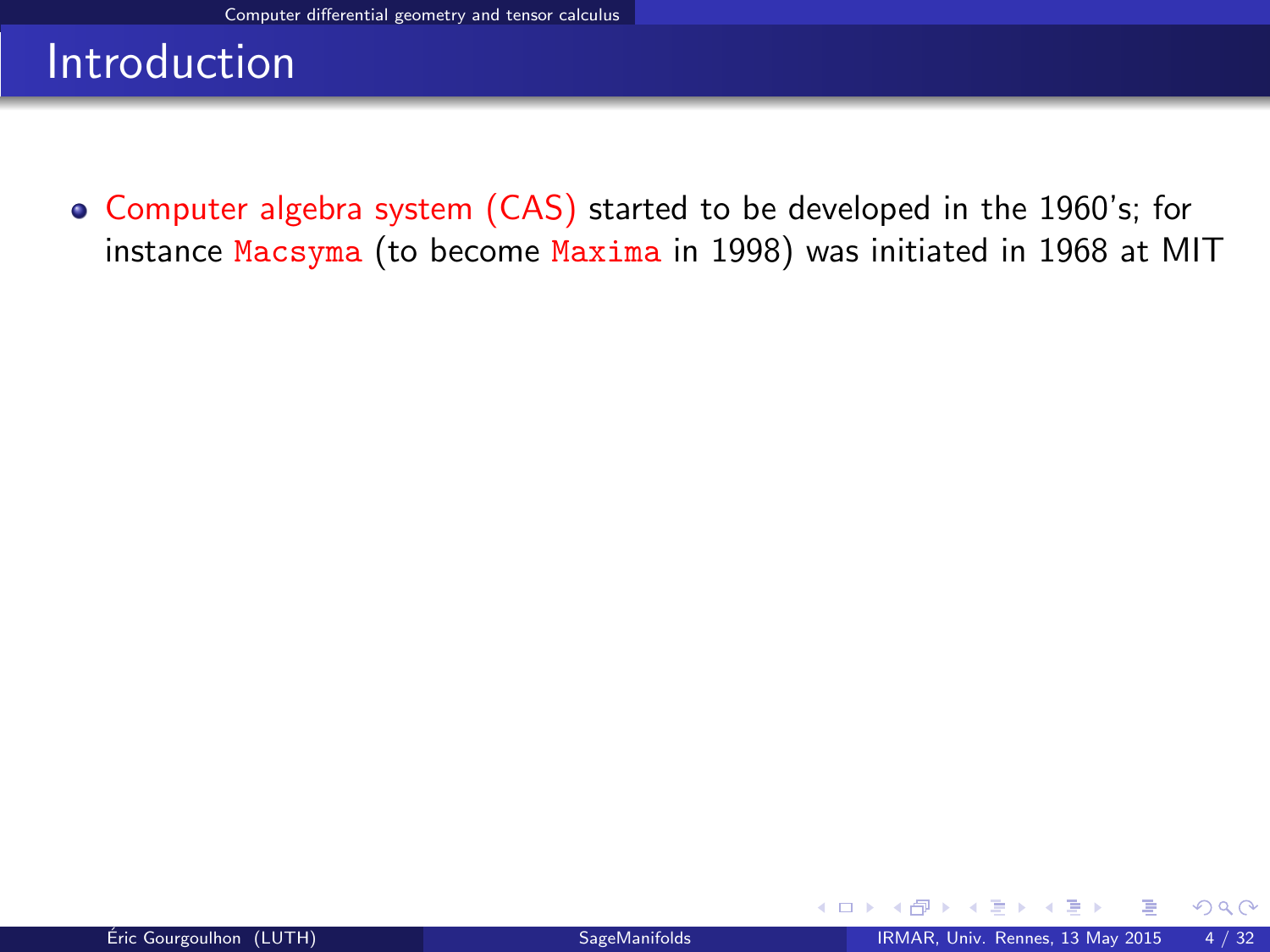Computer algebra system (CAS) started to be developed in the 1960's; for instance Macsyma (to become Maxima in 1998) was initiated in 1968 at MIT

<span id="page-3-0"></span>4 0 8 4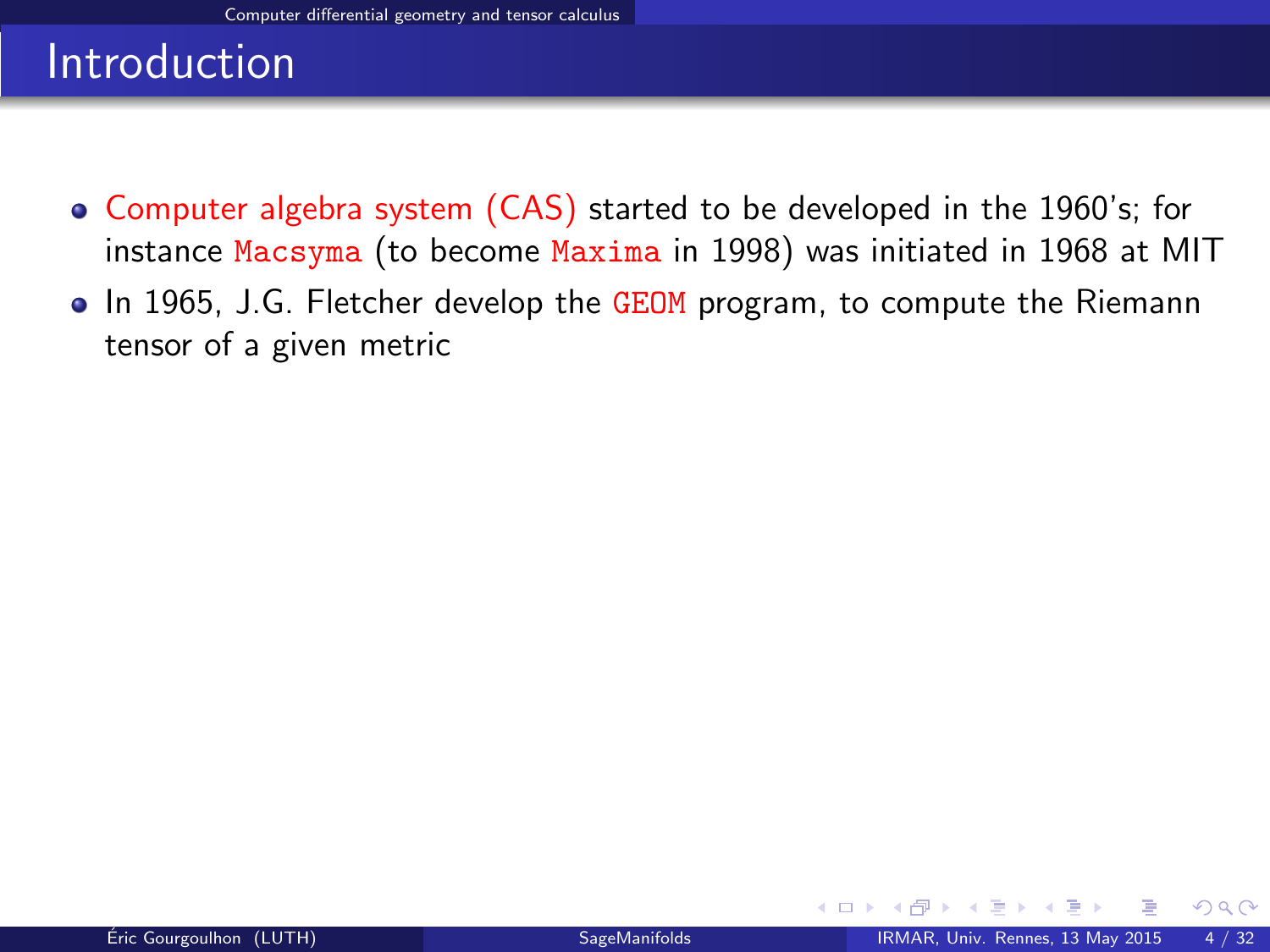- Computer algebra system (CAS) started to be developed in the 1960's; for instance Macsyma (to become Maxima in 1998) was initiated in 1968 at MIT
- In 1965, J.G. Fletcher develop the GEOM program, to compute the Riemann tensor of a given metric

<span id="page-4-0"></span> $\Omega$ 

**← ロ ▶ → イ 同**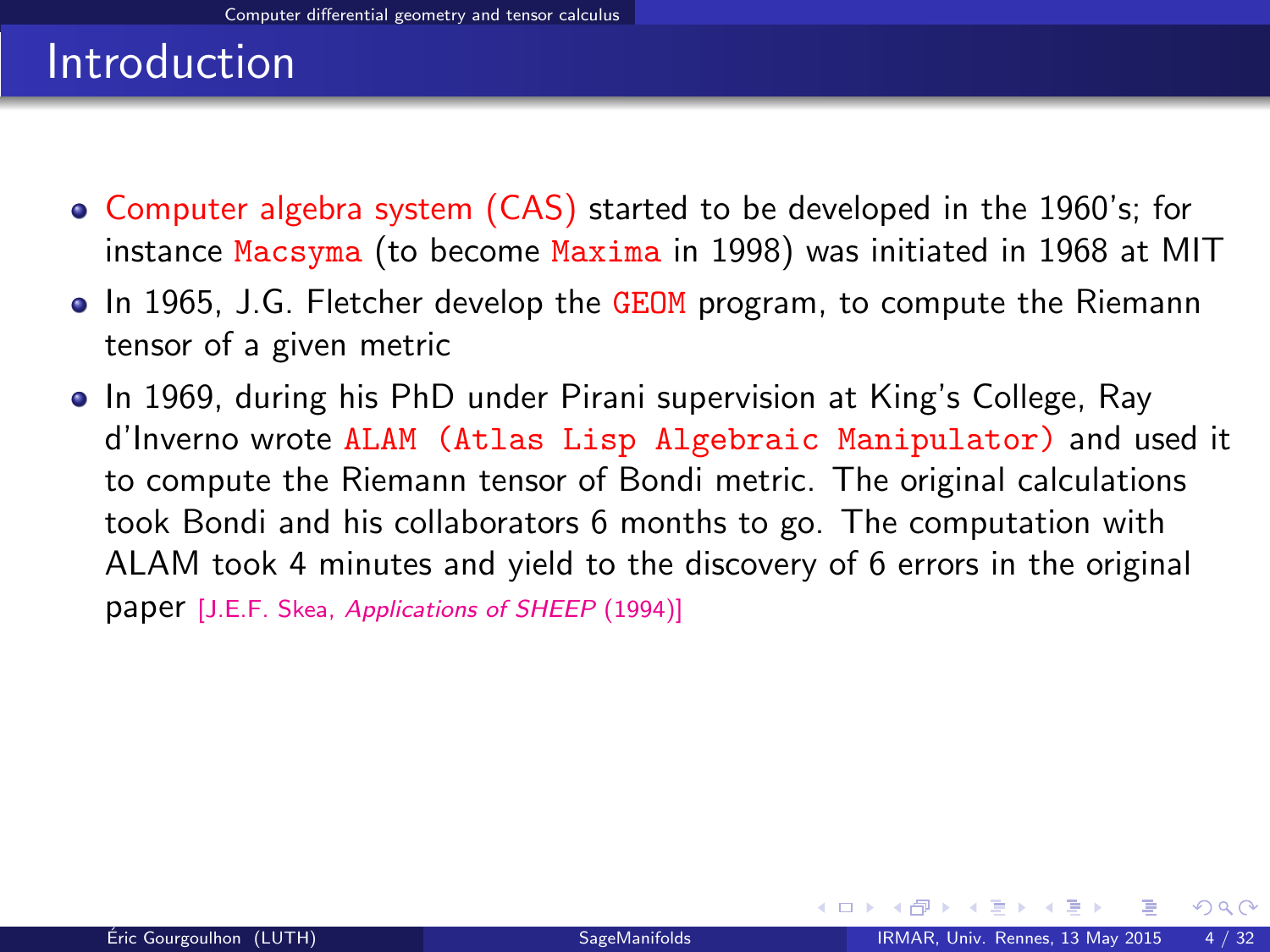- Computer algebra system (CAS) started to be developed in the 1960's; for instance Macsyma (to become Maxima in 1998) was initiated in 1968 at MIT
- In 1965, J.G. Fletcher develop the GEOM program, to compute the Riemann tensor of a given metric
- <span id="page-5-0"></span>In 1969, during his PhD under Pirani supervision at King's College, Ray d'Inverno wrote ALAM (Atlas Lisp Algebraic Manipulator) and used it to compute the Riemann tensor of Bondi metric. The original calculations took Bondi and his collaborators 6 months to go. The computation with ALAM took 4 minutes and yield to the discovery of 6 errors in the original paper [J.E.F. Skea, [Applications of SHEEP](http://www.computeralgebra.nl/systemsoverview/special/tensoranalysis/sheep/) (1994)]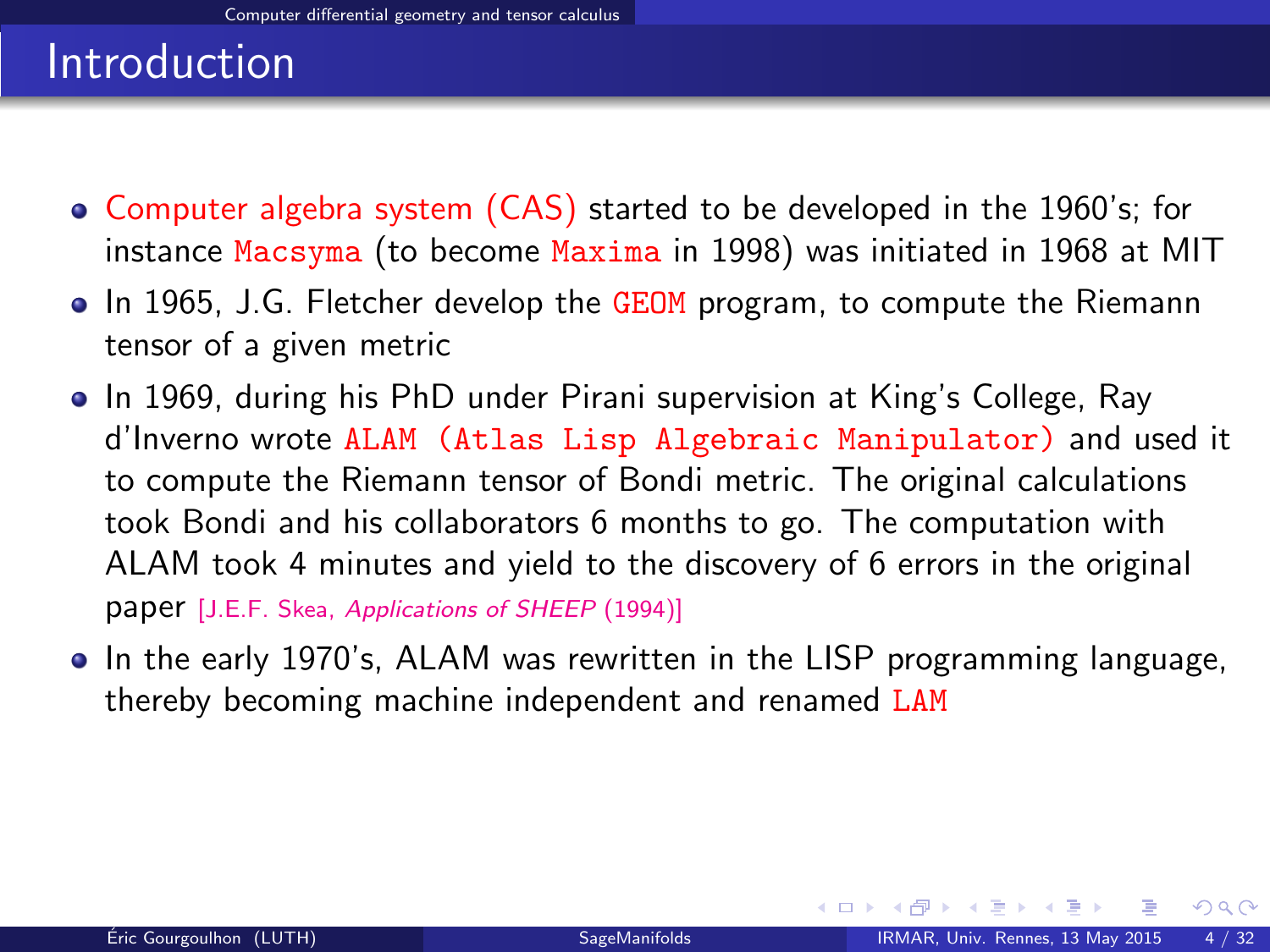- Computer algebra system (CAS) started to be developed in the 1960's; for instance Macsyma (to become Maxima in 1998) was initiated in 1968 at MIT
- In 1965, J.G. Fletcher develop the GEOM program, to compute the Riemann tensor of a given metric
- In 1969, during his PhD under Pirani supervision at King's College, Ray d'Inverno wrote ALAM (Atlas Lisp Algebraic Manipulator) and used it to compute the Riemann tensor of Bondi metric. The original calculations took Bondi and his collaborators 6 months to go. The computation with ALAM took 4 minutes and yield to the discovery of 6 errors in the original paper [J.E.F. Skea, [Applications of SHEEP](http://www.computeralgebra.nl/systemsoverview/special/tensoranalysis/sheep/) (1994)]
- In the early 1970's, ALAM was rewritten in the LISP programming language, thereby becoming machine independent and renamed LAM

<span id="page-6-0"></span> $\Omega$ 

イロト イ押 トイヨ トイヨ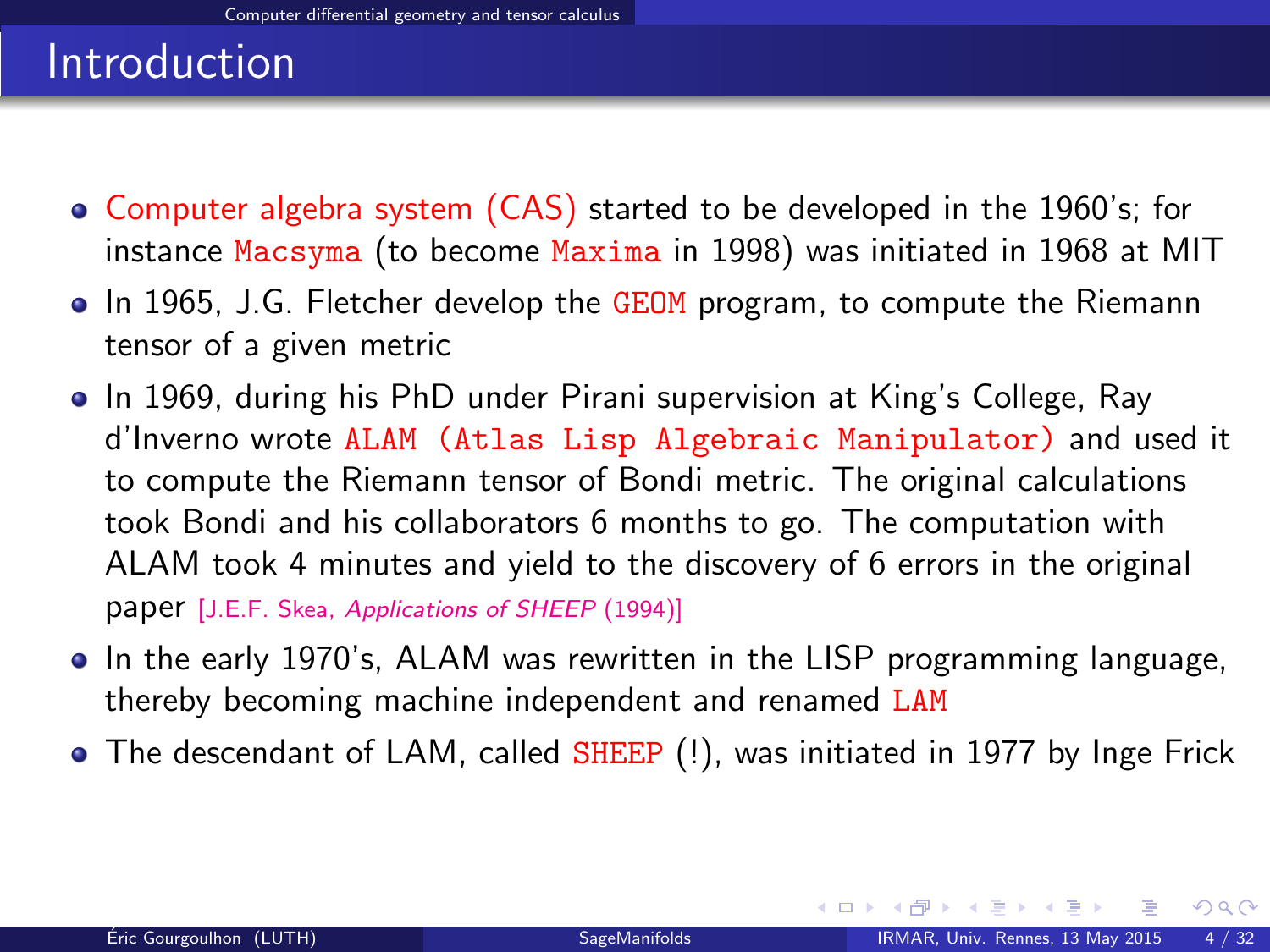- Computer algebra system (CAS) started to be developed in the 1960's; for instance Macsyma (to become Maxima in 1998) was initiated in 1968 at MIT
- In 1965, J.G. Fletcher develop the GEOM program, to compute the Riemann tensor of a given metric
- In 1969, during his PhD under Pirani supervision at King's College, Ray d'Inverno wrote ALAM (Atlas Lisp Algebraic Manipulator) and used it to compute the Riemann tensor of Bondi metric. The original calculations took Bondi and his collaborators 6 months to go. The computation with ALAM took 4 minutes and yield to the discovery of 6 errors in the original paper [J.E.F. Skea, [Applications of SHEEP](http://www.computeralgebra.nl/systemsoverview/special/tensoranalysis/sheep/) (1994)]
- In the early 1970's, ALAM was rewritten in the LISP programming language, thereby becoming machine independent and renamed LAM
- The descendant of LAM, called SHEEP (!), was initiated in 1977 by Inge Frick

<span id="page-7-0"></span>イロト イ押 ト イヨ ト イヨ)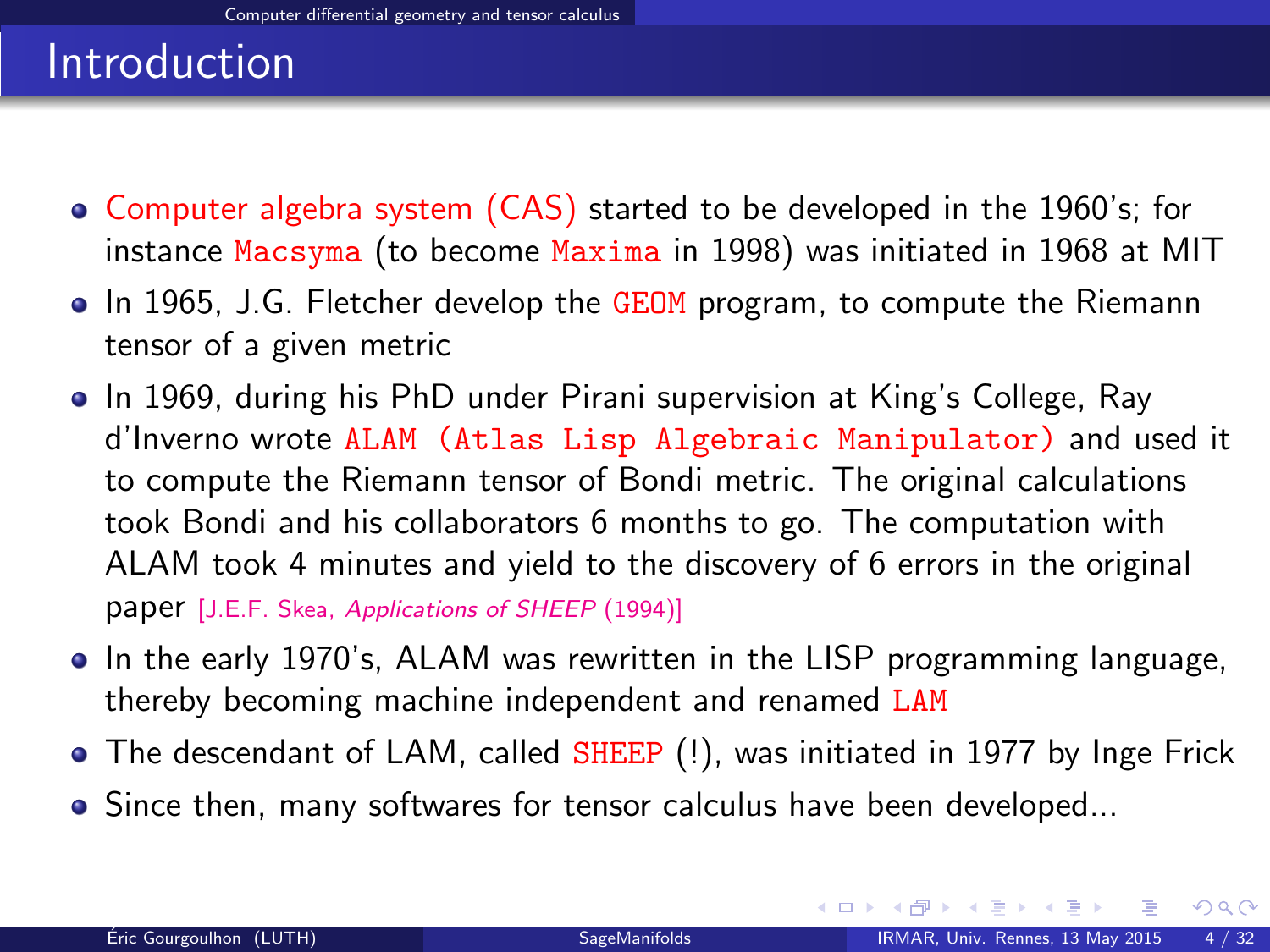- Computer algebra system (CAS) started to be developed in the 1960's; for instance Macsyma (to become Maxima in 1998) was initiated in 1968 at MIT
- In 1965, J.G. Fletcher develop the GEOM program, to compute the Riemann tensor of a given metric
- In 1969, during his PhD under Pirani supervision at King's College, Ray d'Inverno wrote ALAM (Atlas Lisp Algebraic Manipulator) and used it to compute the Riemann tensor of Bondi metric. The original calculations took Bondi and his collaborators 6 months to go. The computation with ALAM took 4 minutes and yield to the discovery of 6 errors in the original paper [J.E.F. Skea, [Applications of SHEEP](http://www.computeralgebra.nl/systemsoverview/special/tensoranalysis/sheep/) (1994)]
- In the early 1970's, ALAM was rewritten in the LISP programming language, thereby becoming machine independent and renamed LAM
- The descendant of LAM, called SHEEP (!), was initiated in 1977 by Inge Frick
- Since then, many softwares for tensor calculus have been developed...

<span id="page-8-0"></span> $\Omega$ 

イロト イ押 ト イヨ ト イヨ)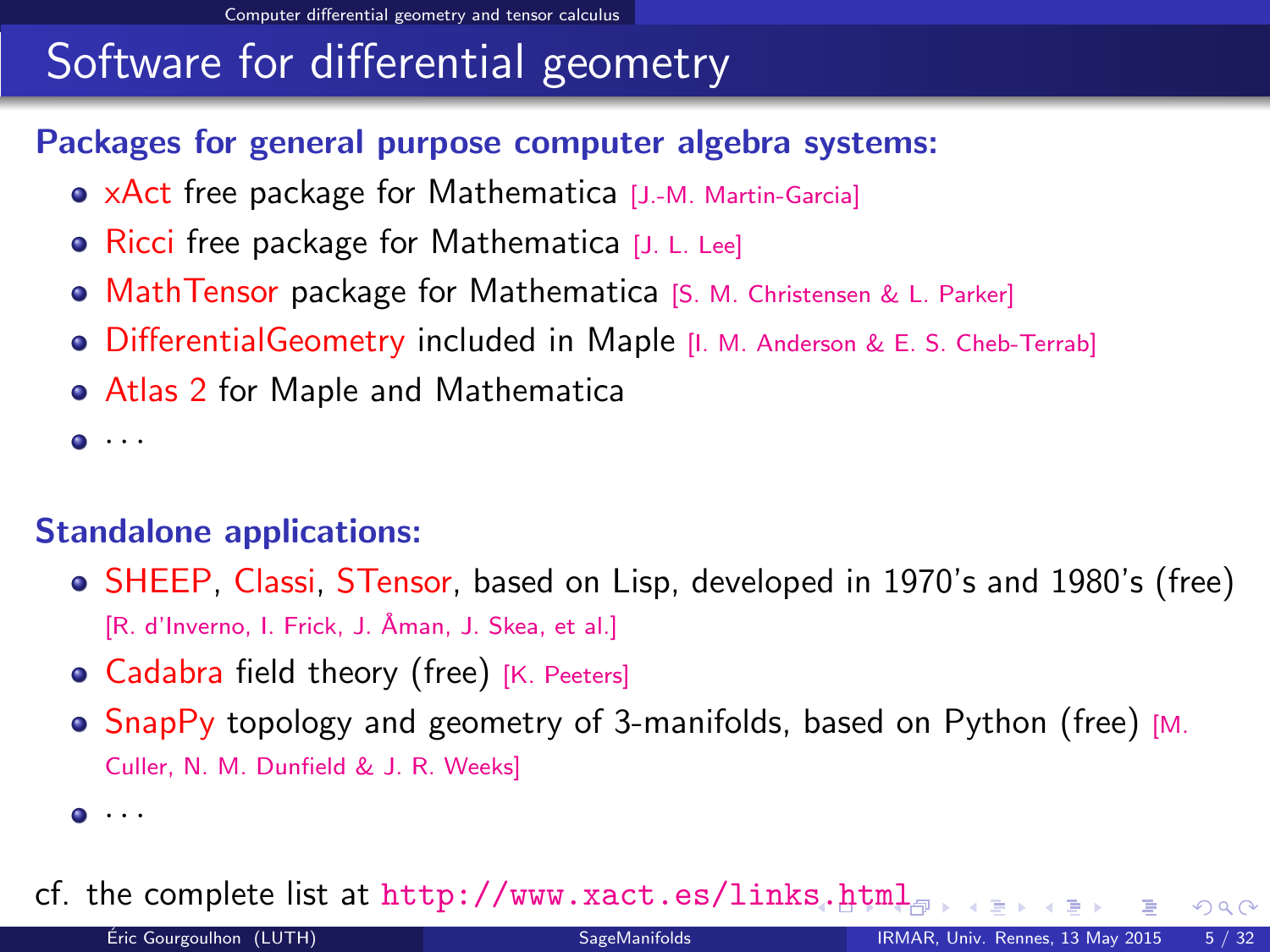# Software for differential geometry

#### Packages for general purpose computer algebra systems:

- xAct free package for Mathematica [J.-M. Martin-Garcia]
- Ricci free package for Mathematica [J. L. Lee]
- **MathTensor package for Mathematica [S. M. Christensen & L. Parker]**
- **•** DifferentialGeometry included in Maple [I. M. Anderson & E. S. Cheb-Terrab]
- Atlas 2 for Maple and Mathematica

 $\bullet$   $\cdot$   $\cdot$ 

#### Standalone applications:

- SHEEP, Classi, STensor, based on Lisp, developed in 1970's and 1980's (free) [R. d'Inverno, I. Frick, J. Åman, J. Skea, et al.]
- Cadabra field theory (free) [K. Peeters]
- SnapPy topology and geometry of 3-manifolds, based on Python (free) [M. Culler, N. M. Dunfield & J. R. Weeks]

cf. the complete list at <http://www.xact.es/links.html>

<span id="page-9-0"></span> $\bullet$   $\cdots$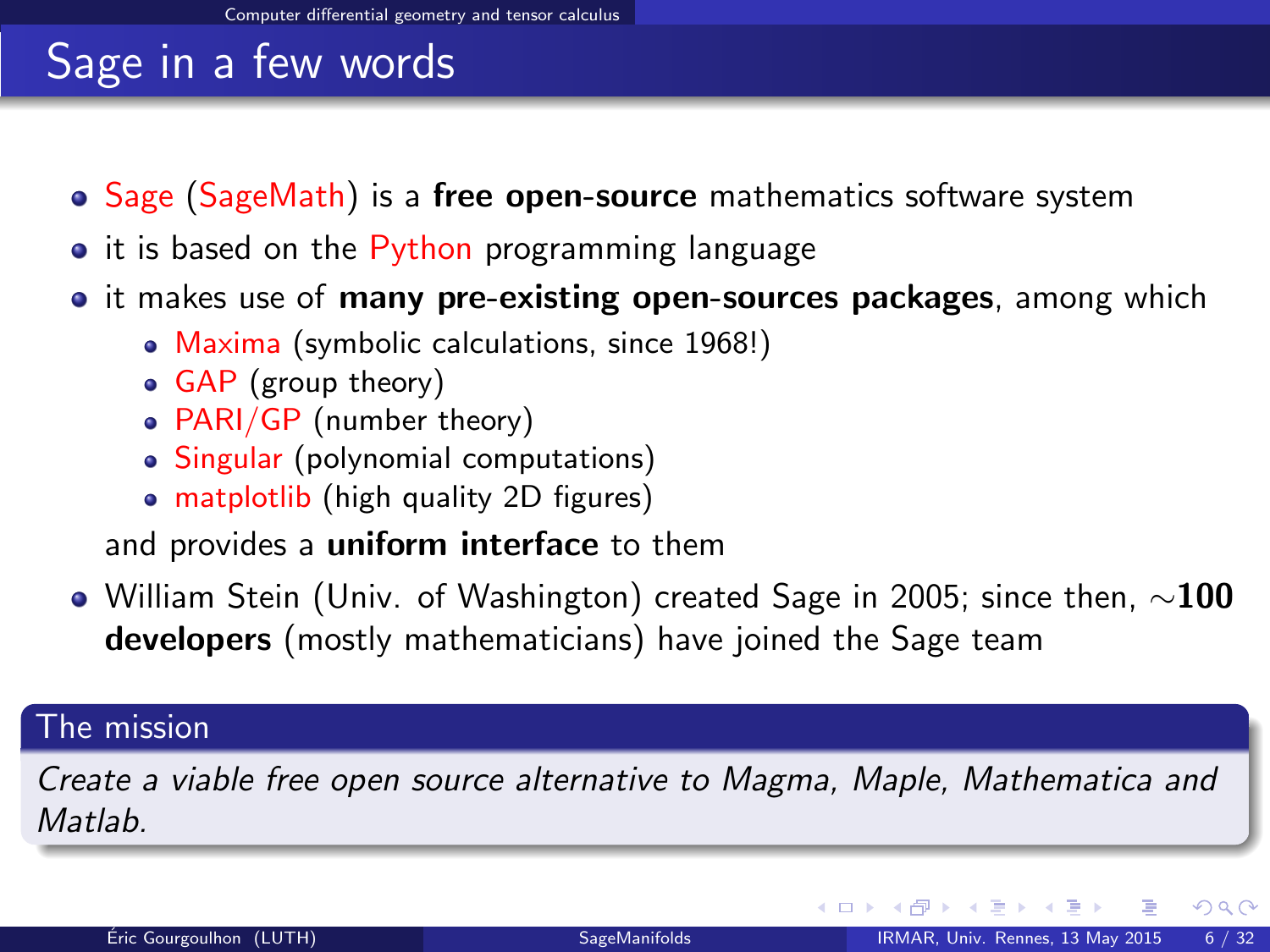# Sage in a few words

- Sage (SageMath) is a free open-source mathematics software system
- it is based on the Python programming language
- it makes use of **many pre-existing open-sources packages**, among which
	- Maxima (symbolic calculations, since 1968!)
	- GAP (group theory)
	- PARI/GP (number theory)
	- Singular (polynomial computations)
	- matplotlib (high quality 2D figures)

and provides a uniform interface to them

 $\bullet$  William Stein (Univ. of Washington) created Sage in 2005; since then,  $\sim$ 100 developers (mostly mathematicians) have joined the Sage team

#### The mission

Create a viable free open source alternative to Magma, Maple, Mathematica and **Matlah** 

<span id="page-10-0"></span> $\Omega$ 

イロト イ押ト イヨト イ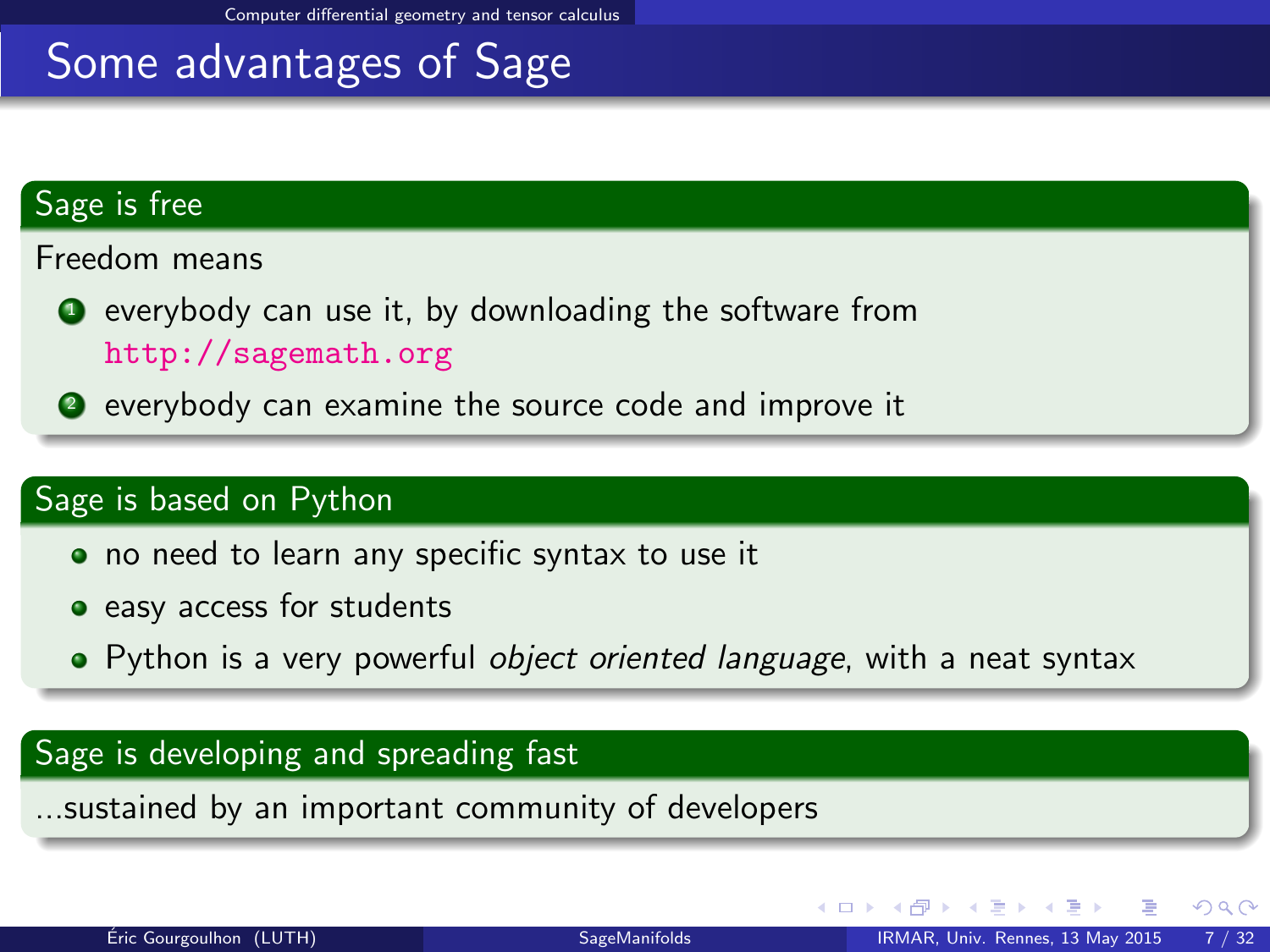## Some advantages of Sage

#### Sage is free

Freedom means

- $\bullet$  everybody can use it, by downloading the software from <http://sagemath.org>
- <sup>2</sup> everybody can examine the source code and improve it

#### Sage is based on Python

- no need to learn any specific syntax to use it
- easy access for students
- Python is a very powerful object oriented language, with a neat syntax

#### Sage is developing and spreading fast

...sustained by an important community of developers

<span id="page-11-0"></span> $\Omega$ 

イロト イ押 トイヨ トイヨ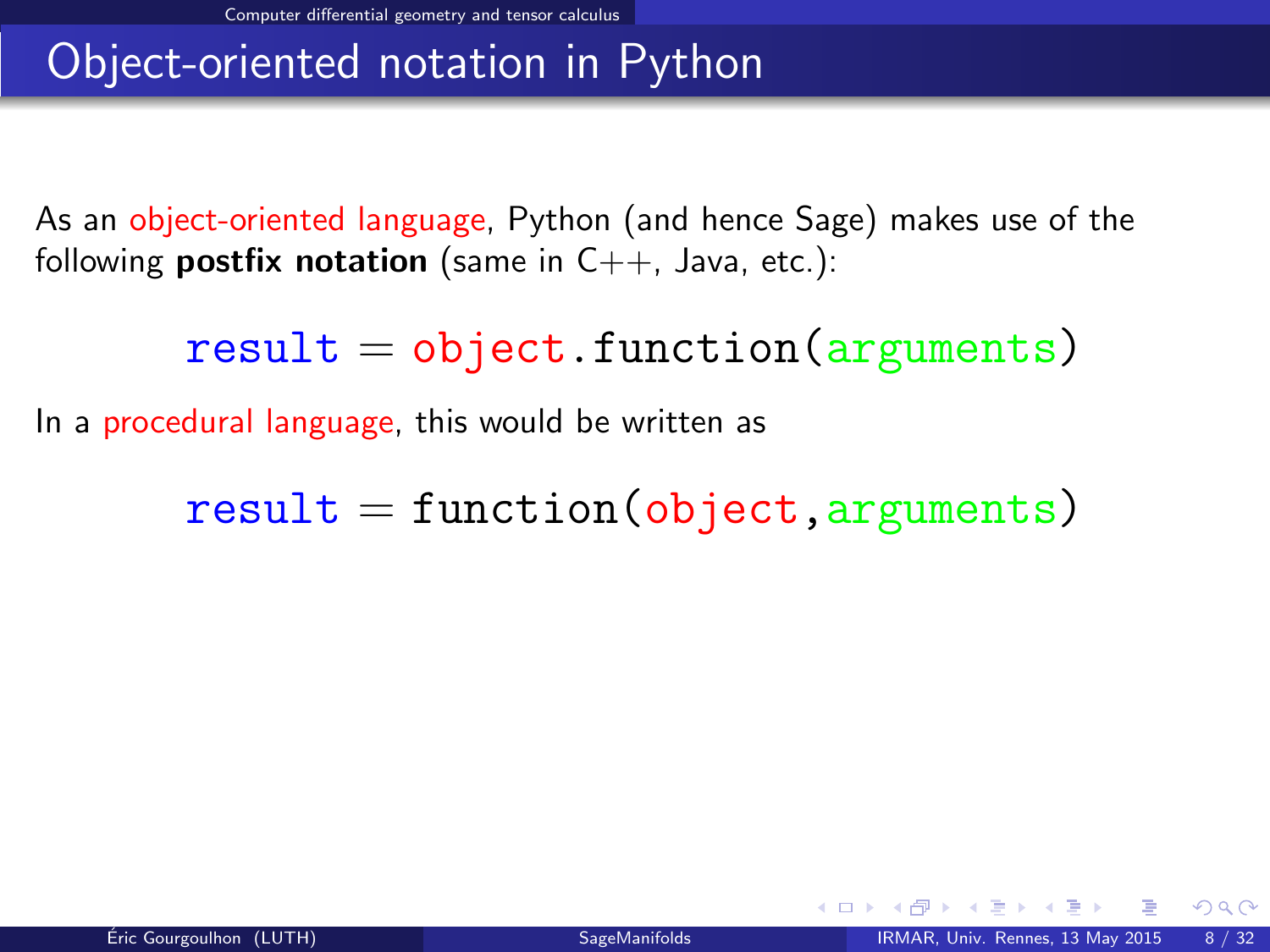# Object-oriented notation in Python

As an object-oriented language, Python (and hence Sage) makes use of the following **postfix notation** (same in  $C_{++}$ , Java, etc.):

 $result = object.function(arquments)$ 

In a procedural language, this would be written as

<span id="page-12-0"></span> $result = function(object, arguments)$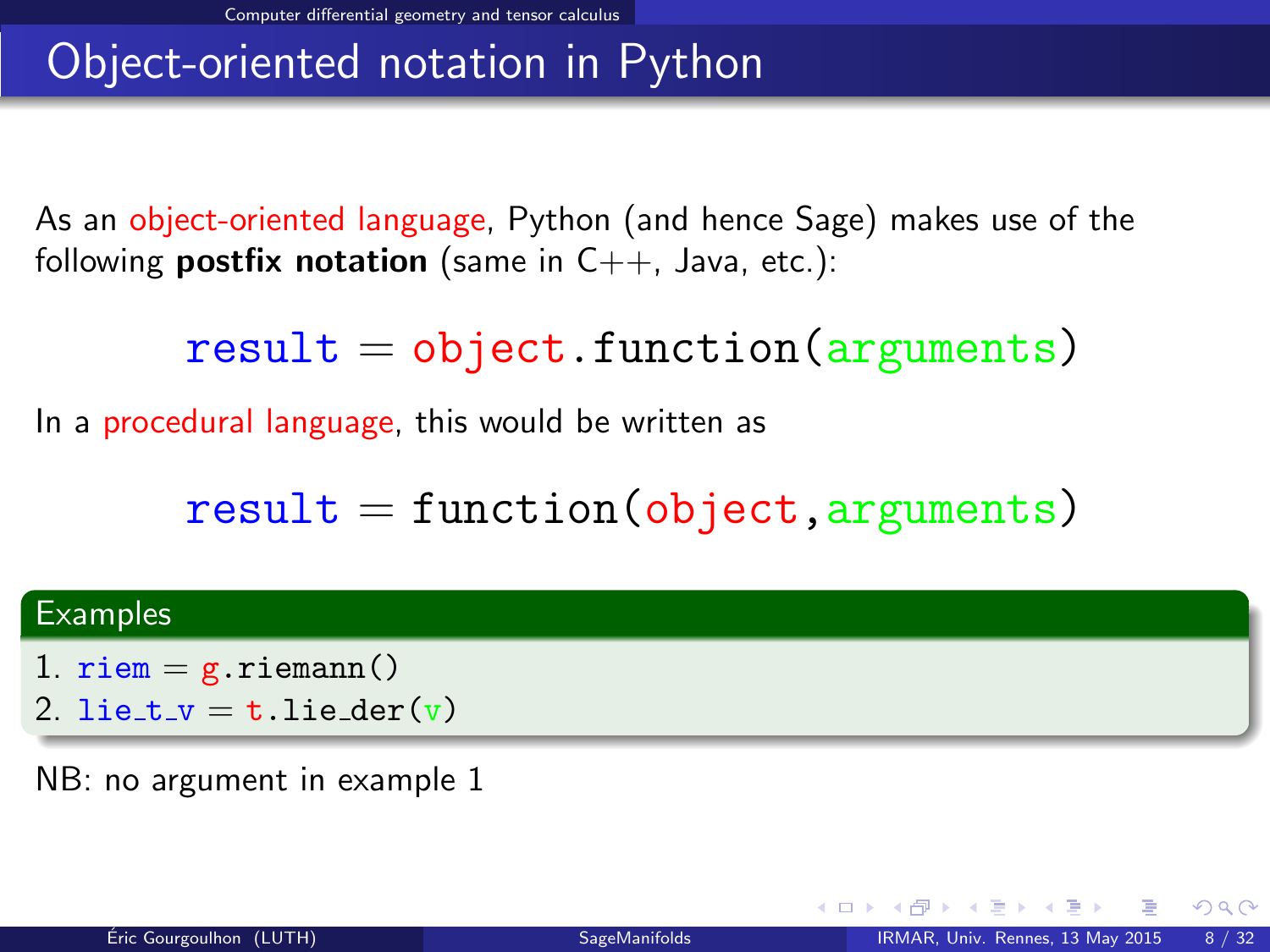# Object-oriented notation in Python

As an object-oriented language, Python (and hence Sage) makes use of the following **postfix notation** (same in  $C_{++}$ , Java, etc.):

 $result = object.function(arguments)$ 

In a procedural language, this would be written as

<span id="page-13-0"></span> $result = function(object, arguments)$ 

#### **Examples**

- 1.  $riem = g.riemann()$
- 2. lie\_t\_v = t.lie\_der(v)

NB: no argument in example 1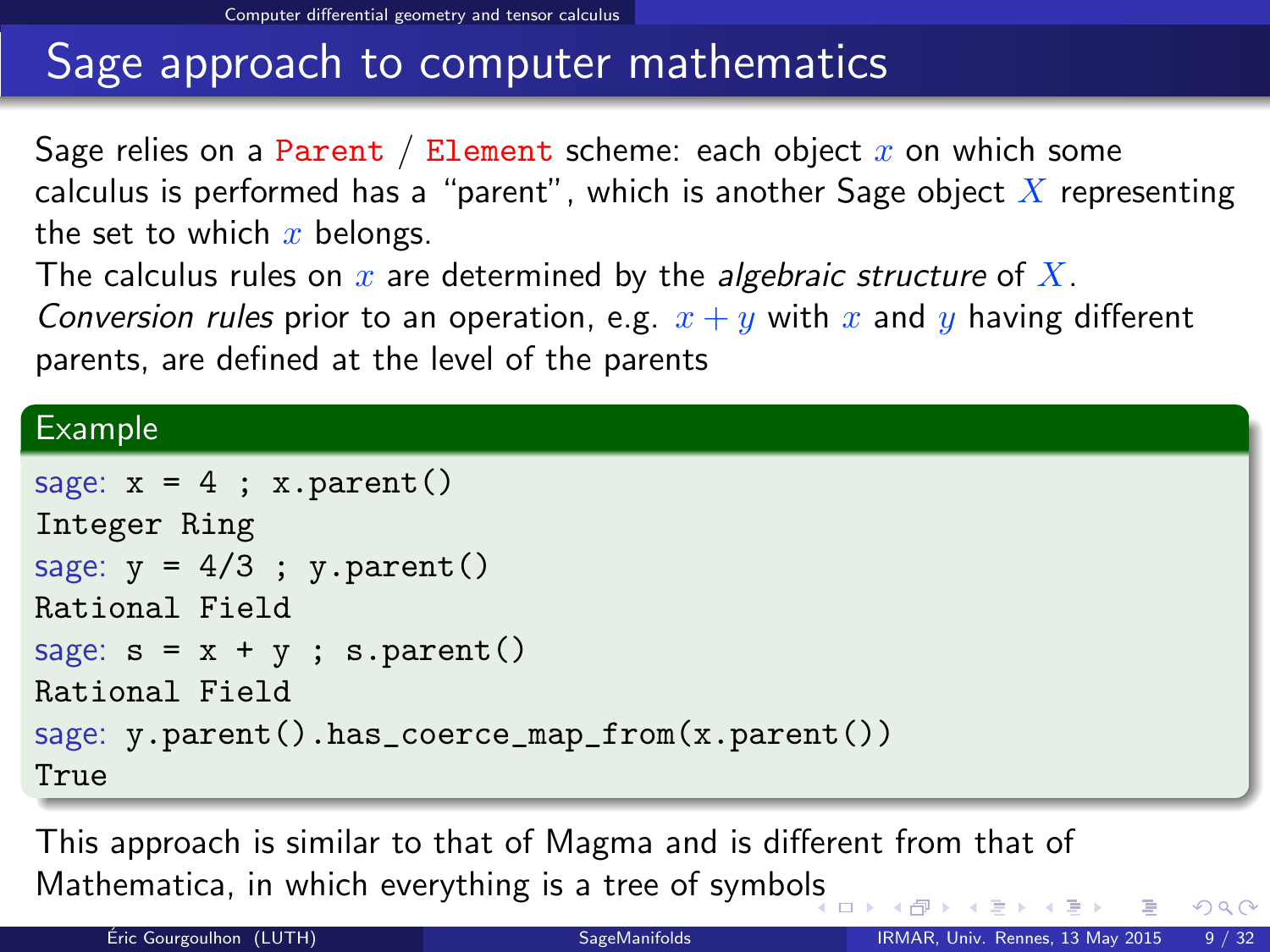# Sage approach to computer mathematics

Sage relies on a Parent / Element scheme: each object  $x$  on which some calculus is performed has a "parent", which is another Sage object  $\overline{X}$  representing the set to which  $x$  belongs.

The calculus rules on  $x$  are determined by the *algebraic structure* of  $X$ .

Conversion rules prior to an operation, e.g.  $x + y$  with x and y having different parents, are defined at the level of the parents

#### Example

```
sage: x = 4; x.parent()Integer Ring
sage: y = 4/3; y.parent()Rational Field
sage: s = x + y; s.parent()Rational Field
sage: y.parent().has_coerce_map_from(x.parent())
True
```
This approach is similar to that of Magma and is different from that of Mathematica, in which everything is a tree of symbo[ls](#page-13-0)

<span id="page-14-0"></span> $QQ$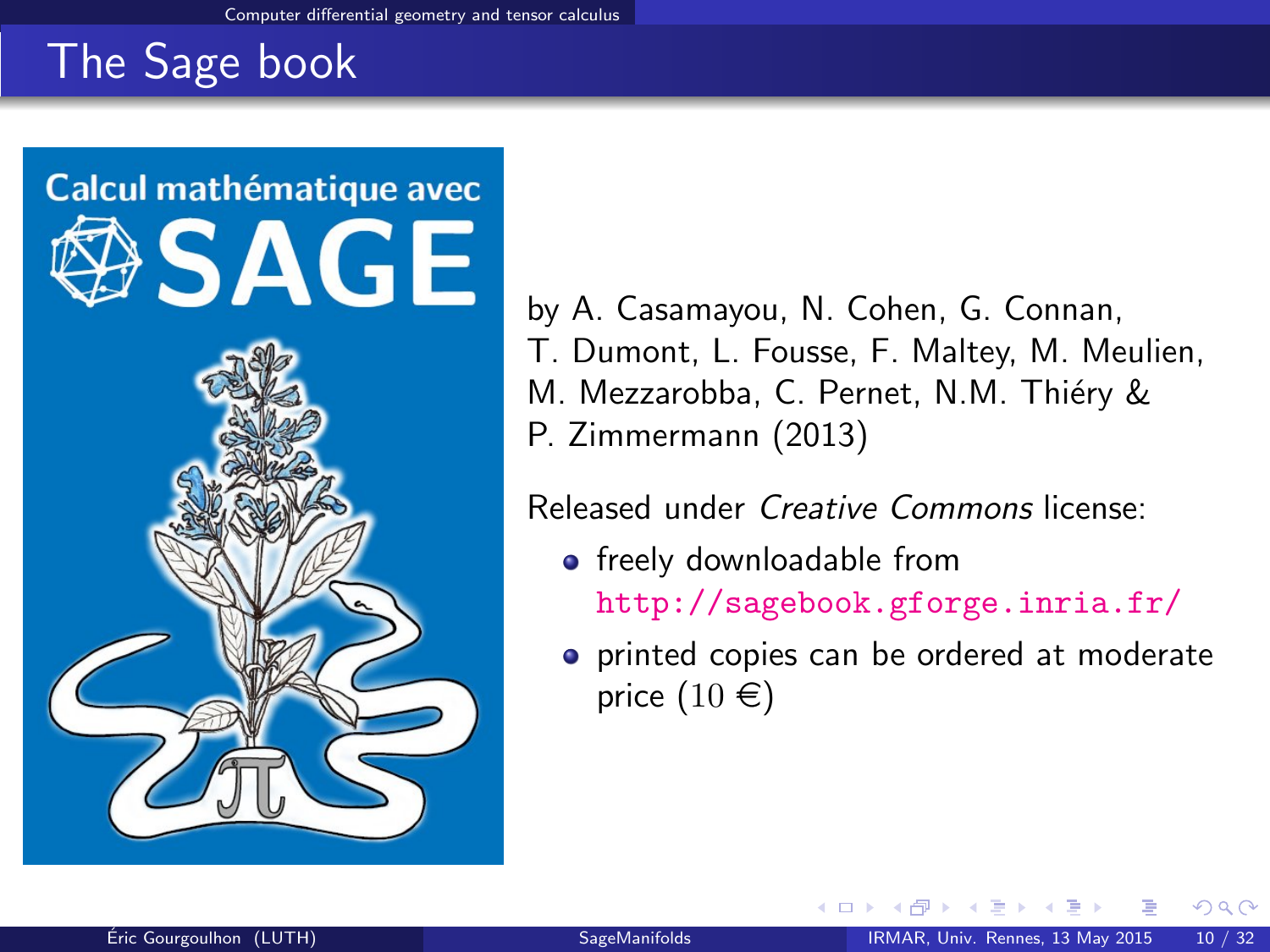# The Sage book



by A. Casamayou, N. Cohen, G. Connan, T. Dumont, L. Fousse, F. Maltey, M. Meulien, M. Mezzarobba, C. Pernet, N.M. Thiéry & P. Zimmermann (2013)

Released under Creative Commons license:

- freely downloadable from <http://sagebook.gforge.inria.fr/>
- **•** printed copies can be ordered at moderate price  $(10 \in)$

<span id="page-15-0"></span>റെ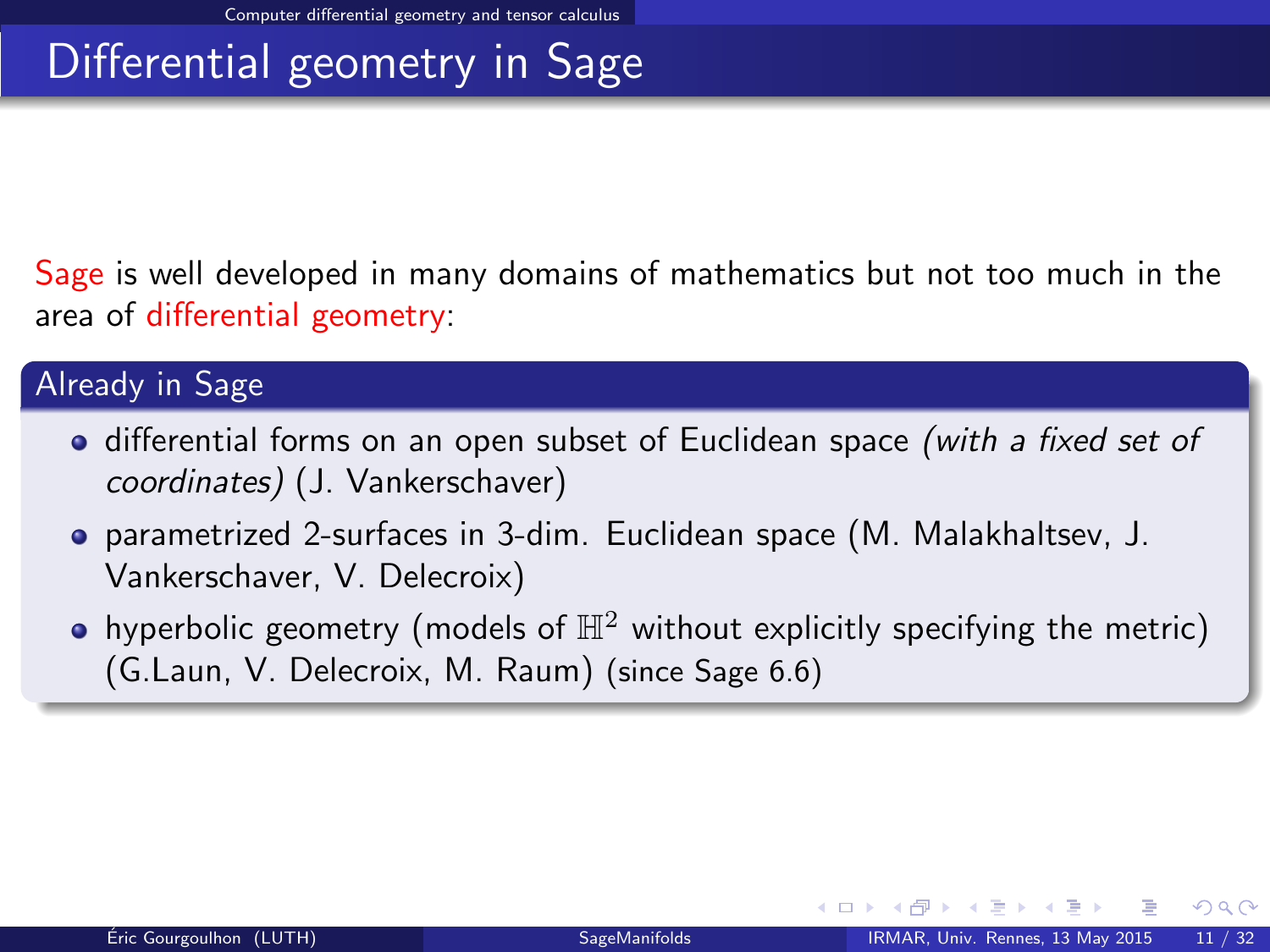# Differential geometry in Sage

Sage is well developed in many domains of mathematics but not too much in the area of differential geometry:

#### Already in Sage

- differential forms on an open subset of Euclidean space (with a fixed set of coordinates) (J. Vankerschaver)
- parametrized 2-surfaces in 3-dim. Euclidean space (M. Malakhaltsev, J. Vankerschaver, V. Delecroix)
- <span id="page-16-0"></span>• hyperbolic geometry (models of  $\mathbb{H}^2$  without explicitly specifying the metric) (G.Laun, V. Delecroix, M. Raum) (since Sage 6.6)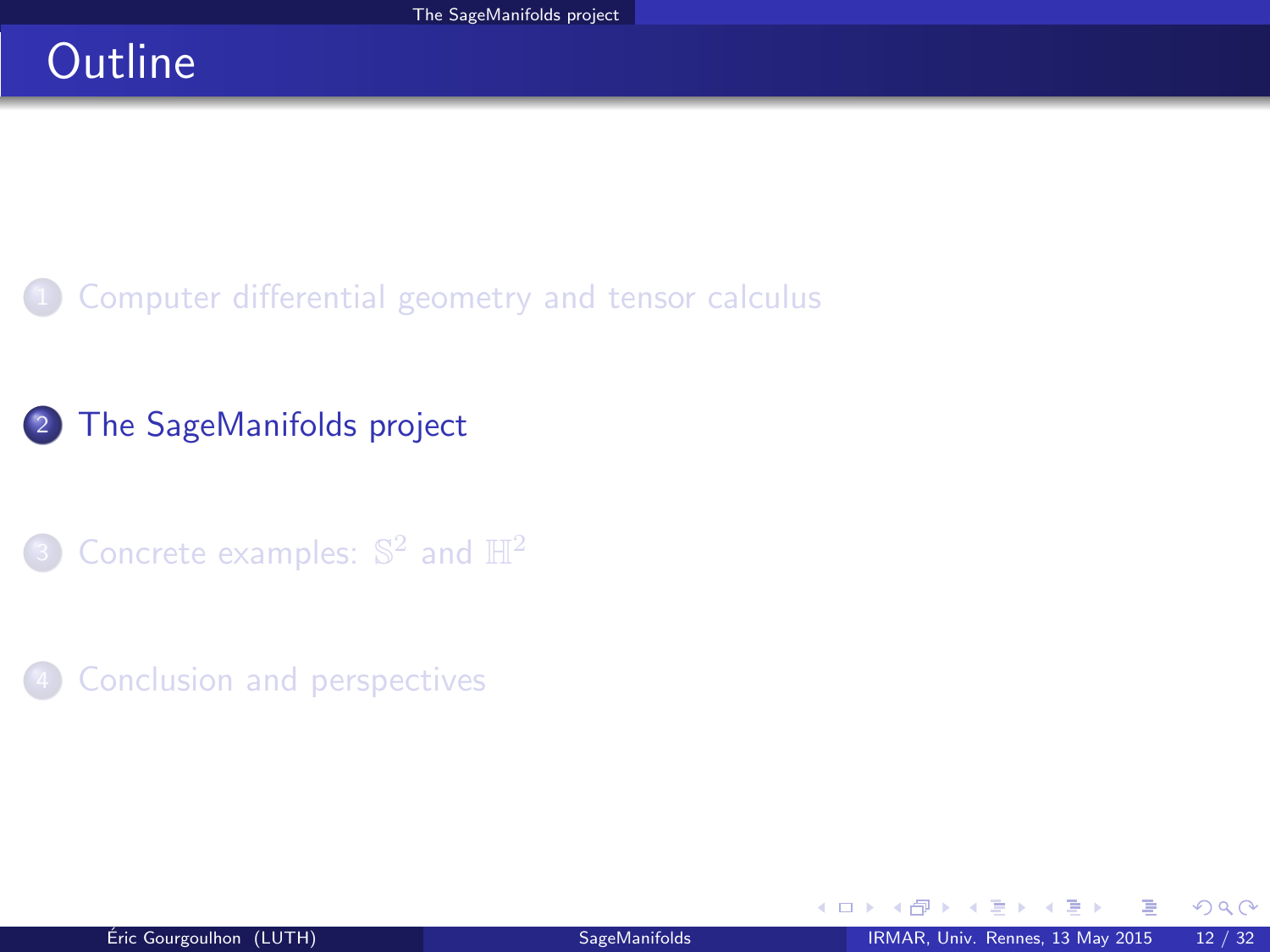# **Outline**

[Computer differential geometry and tensor calculus](#page-2-0)

### <sup>2</sup> [The SageManifolds project](#page-17-0)

3 [Concrete examples:](#page-38-0)  $\mathbb{S}^2$  and  $\mathbb{H}^2$ 

#### **[Conclusion and perspectives](#page-41-0)**

<span id="page-17-0"></span> $298$ 

÷  $\sim$ 

そロト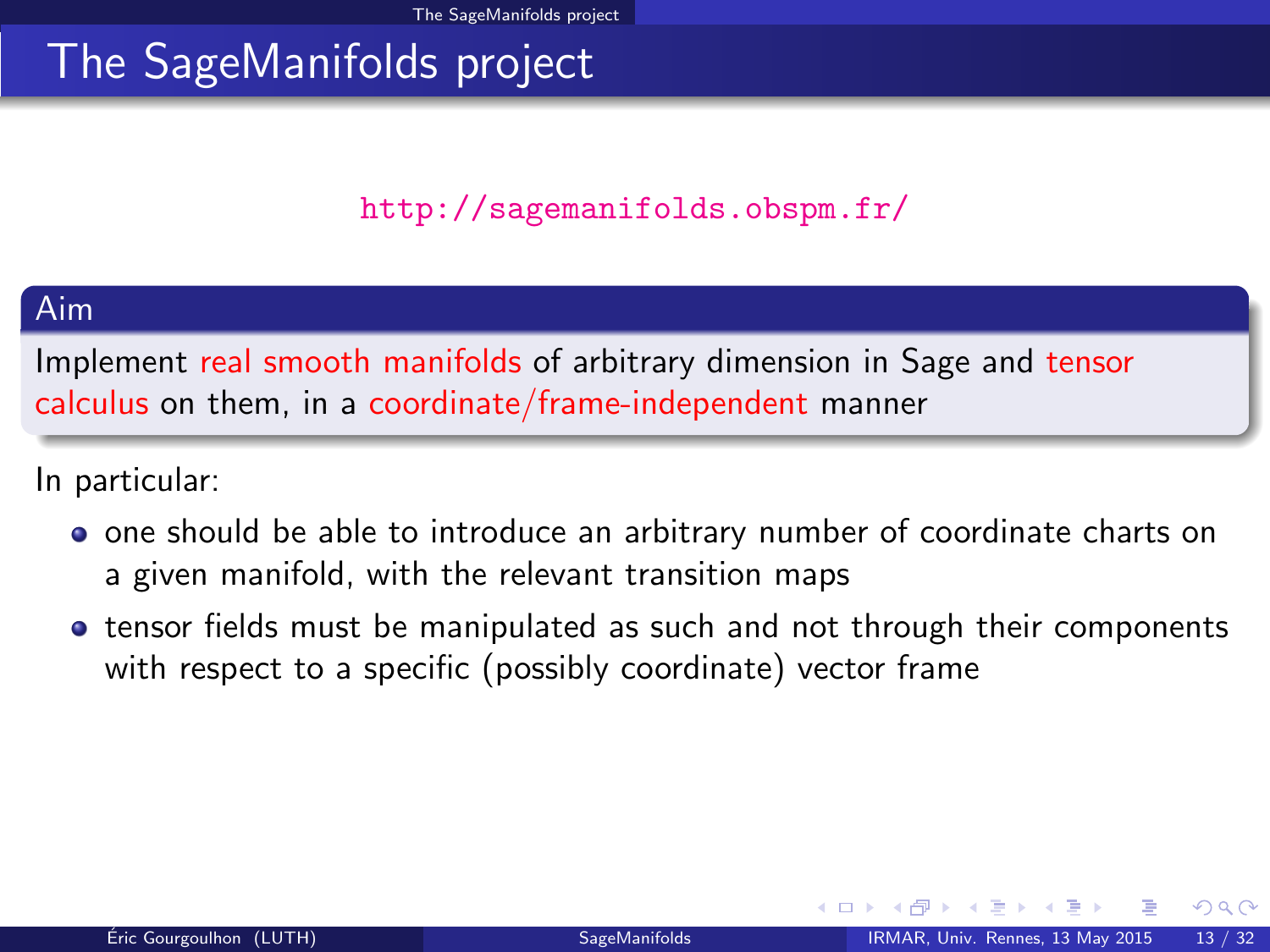### <span id="page-18-0"></span><http://sagemanifolds.obspm.fr/>

#### Aim

Implement real smooth manifolds of arbitrary dimension in Sage and tensor calculus on them, in a coordinate/frame-independent manner

In particular:

- one should be able to introduce an arbitrary number of coordinate charts on a given manifold, with the relevant transition maps
- tensor fields must be manipulated as such and not through their components with respect to a specific (possibly coordinate) vector frame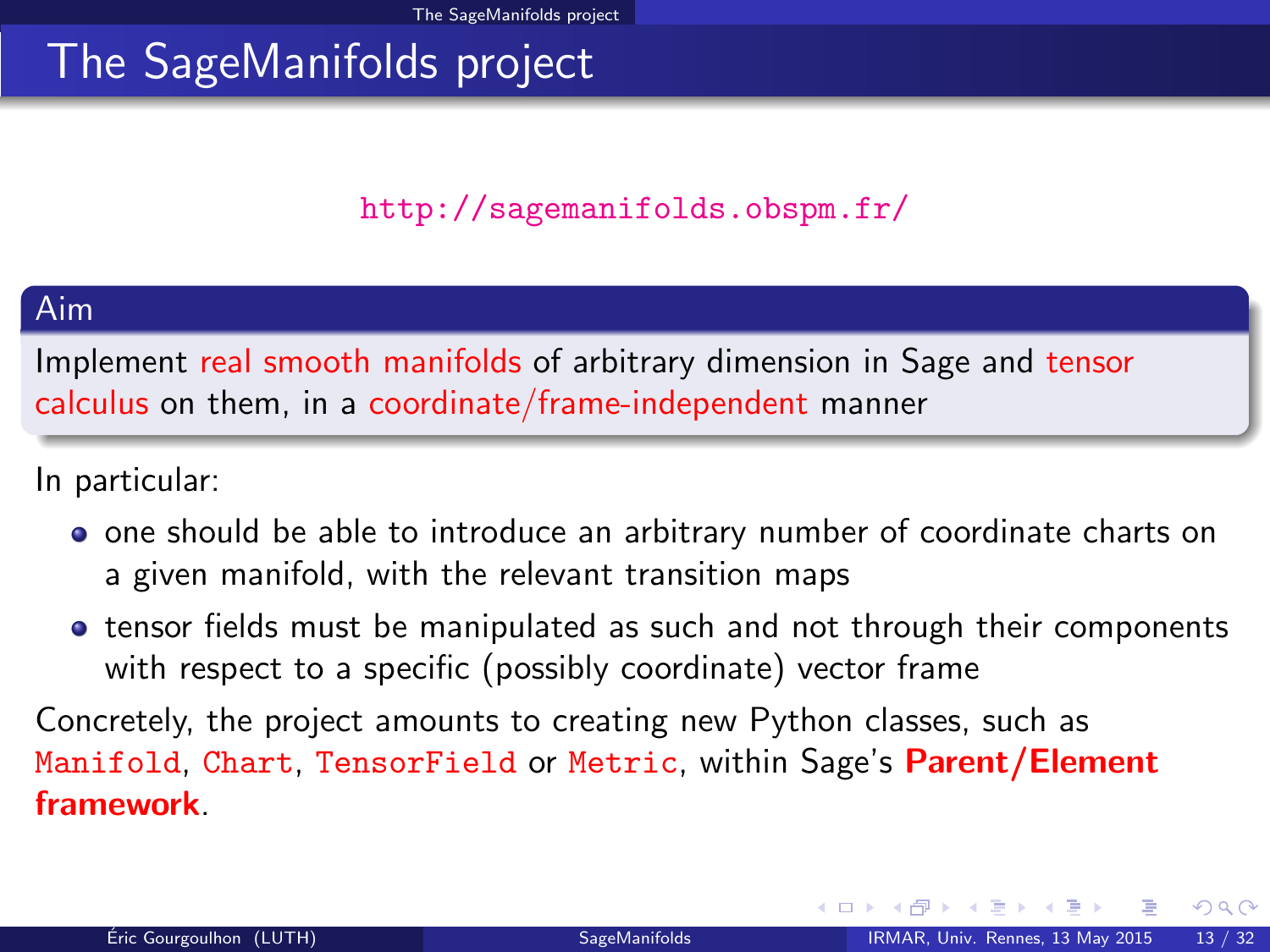### <span id="page-19-0"></span><http://sagemanifolds.obspm.fr/>

#### Aim

Implement real smooth manifolds of arbitrary dimension in Sage and tensor calculus on them, in a coordinate/frame-independent manner

In particular:

- one should be able to introduce an arbitrary number of coordinate charts on a given manifold, with the relevant transition maps
- tensor fields must be manipulated as such and not through their components with respect to a specific (possibly coordinate) vector frame

Concretely, the project amounts to creating new Python classes, such as Manifold, Chart, TensorField or Metric, within Sage's Parent/Element framework.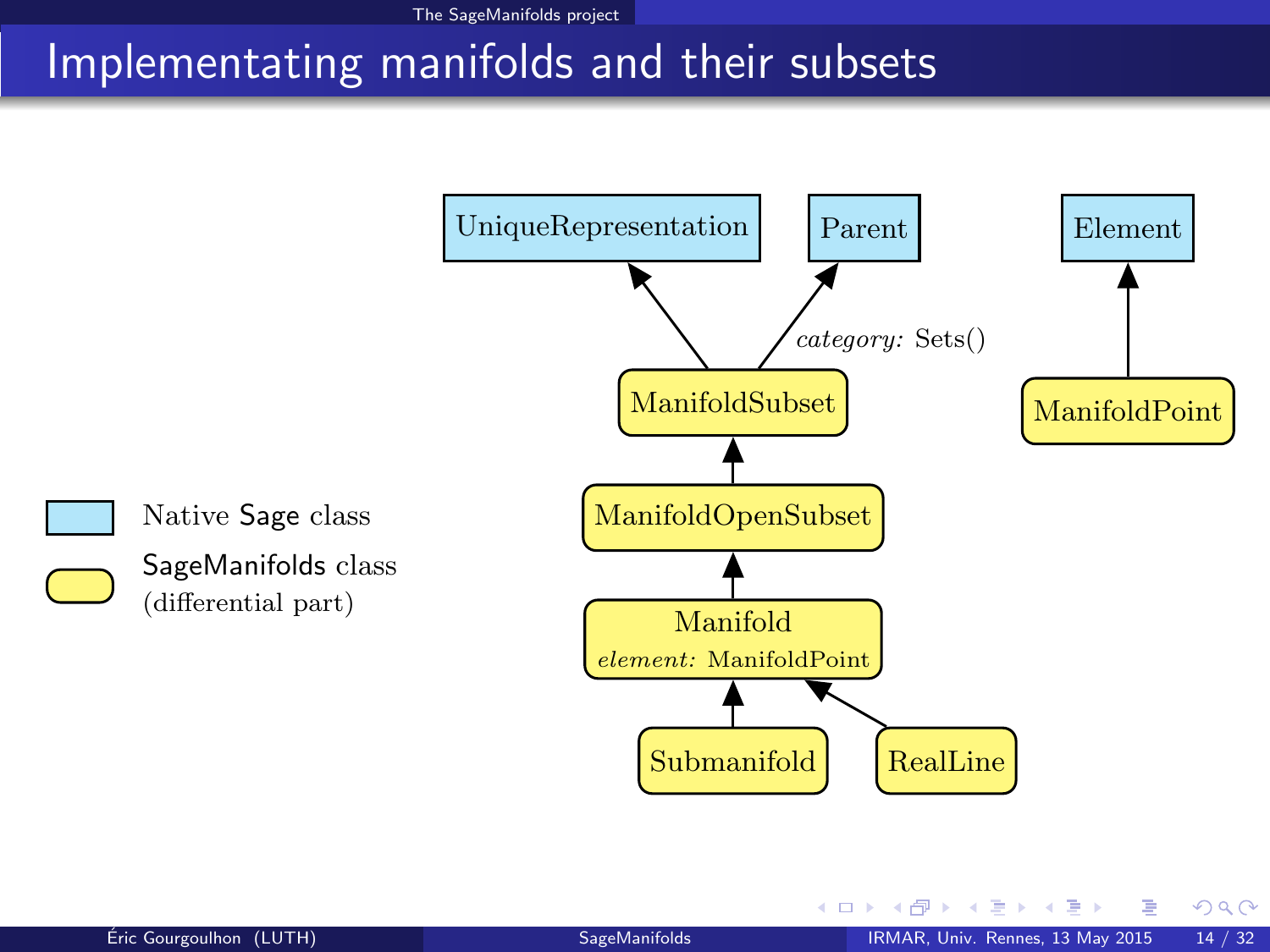# Implementating manifolds and their subsets



<span id="page-20-0"></span>そロト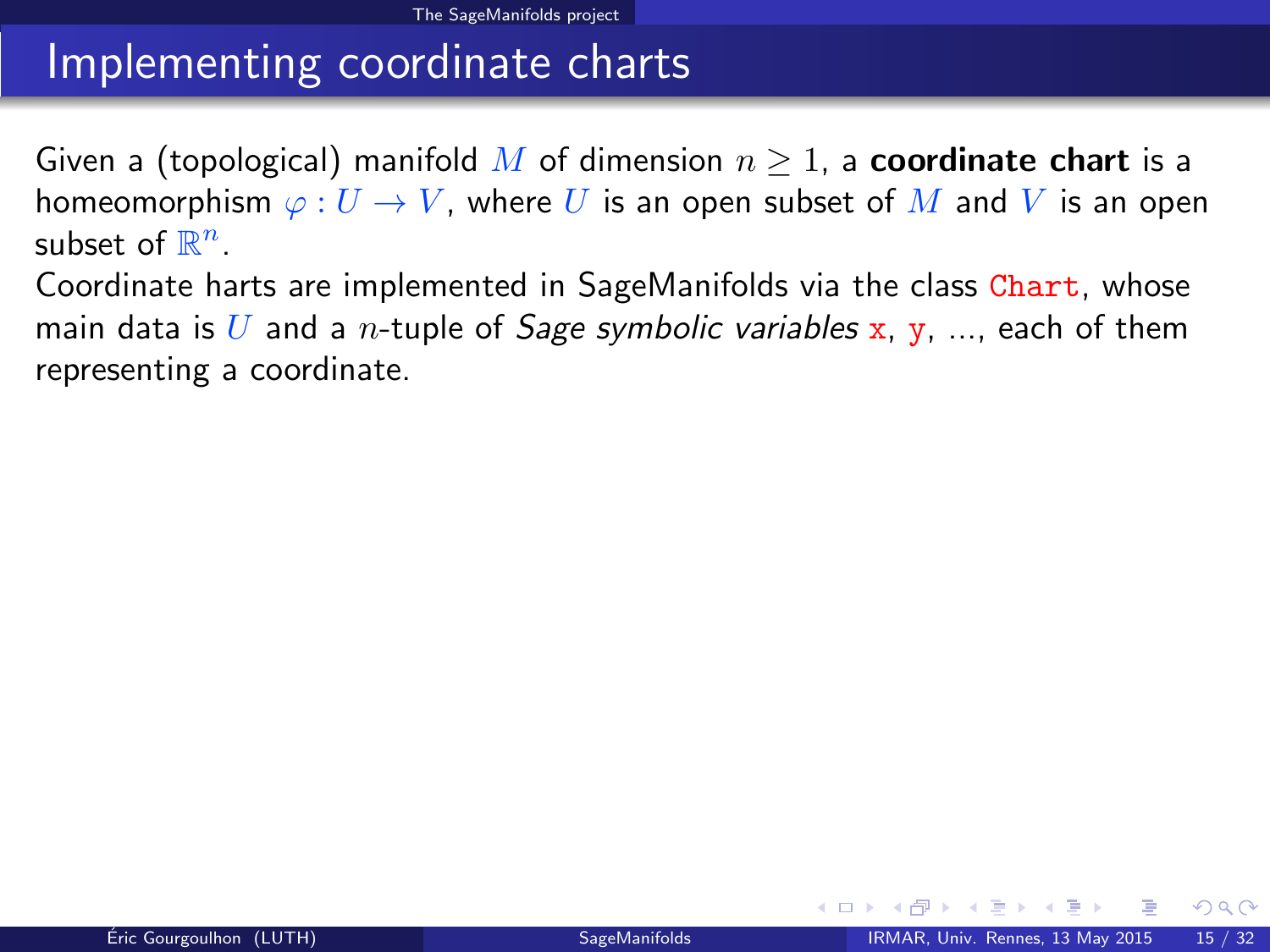# Implementing coordinate charts

Given a (topological) manifold M of dimension  $n \geq 1$ , a **coordinate chart** is a homeomorphism  $\varphi: U \to V$ , where U is an open subset of M and V is an open subset of  $\mathbb{R}^n$ .

<span id="page-21-0"></span>Coordinate harts are implemented in SageManifolds via the class Chart, whose main data is U and a *n*-tuple of *Sage symbolic variables* x, y, ..., each of them representing a coordinate.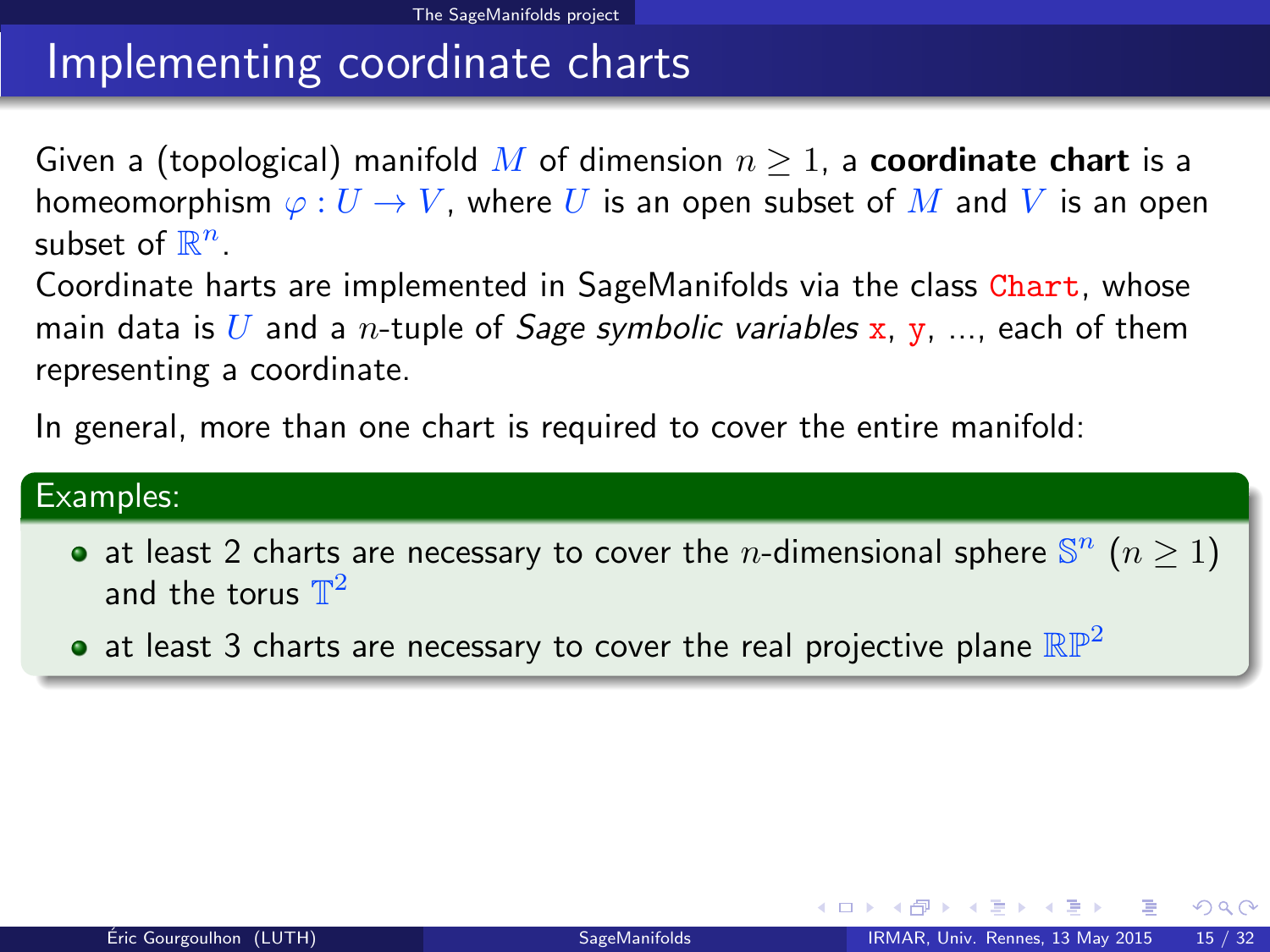# Implementing coordinate charts

Given a (topological) manifold M of dimension  $n \geq 1$ , a **coordinate chart** is a homeomorphism  $\varphi: U \to V$ , where U is an open subset of M and V is an open subset of  $\mathbb{R}^n$ .

Coordinate harts are implemented in SageManifolds via the class Chart, whose main data is U and a *n*-tuple of *Sage symbolic variables* x, y, ..., each of them representing a coordinate.

In general, more than one chart is required to cover the entire manifold:

#### Examples:

- at least 2 charts are necessary to cover the *n*-dimensional sphere  $\mathbb{S}^n$  ( $n \ge 1$ ) and the torus  $\mathbb{T}^2$
- $\bullet$  at least 3 charts are necessary to cover the real projective plane  $\mathbb{RP}^2$

<span id="page-22-0"></span> $QQ$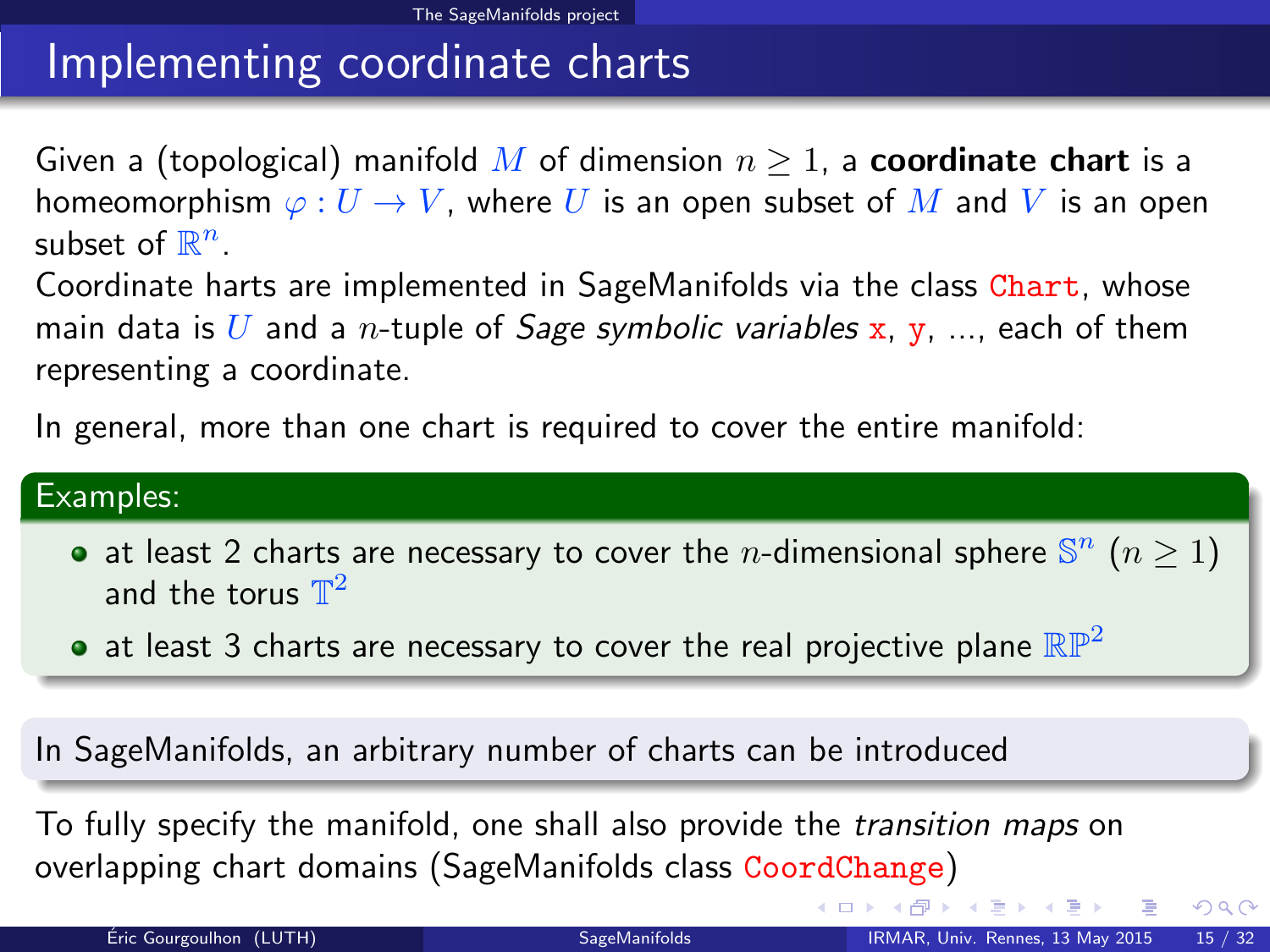# Implementing coordinate charts

Given a (topological) manifold M of dimension  $n \geq 1$ , a **coordinate chart** is a homeomorphism  $\varphi: U \to V$ , where U is an open subset of M and V is an open subset of  $\mathbb{R}^n$ .

Coordinate harts are implemented in SageManifolds via the class Chart, whose main data is U and a *n*-tuple of *Sage symbolic variables* x, y, ..., each of them representing a coordinate.

In general, more than one chart is required to cover the entire manifold:

#### Examples:

- at least 2 charts are necessary to cover the *n*-dimensional sphere  $\mathbb{S}^n$  ( $n \ge 1$ ) and the torus  $\mathbb{T}^2$
- at least 3 charts are necessary to cover the real projective plane  $\mathbb{RP}^2$

In SageManifolds, an arbitrary number of charts can be introduced

To fully specify the manifold, one shall also provide the transition maps on overlapping chart domains (SageManifolds class CoordChange)

<span id="page-23-0"></span> $QQ$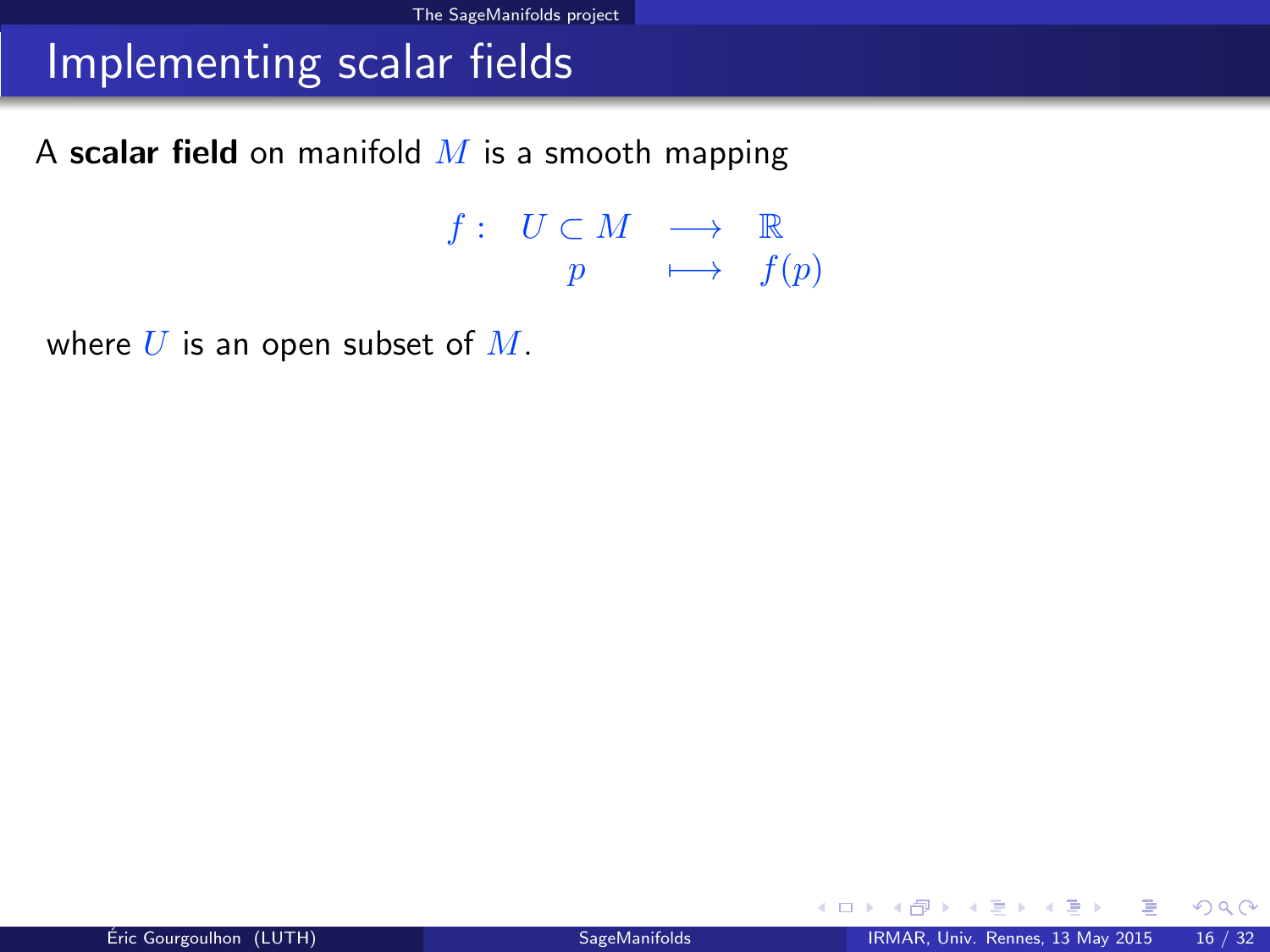## Implementing scalar fields

A scalar field on manifold  $M$  is a smooth mapping

 $f: U \subset M \longrightarrow \mathbb{R}$  $p \longrightarrow f(p)$ 

where  $U$  is an open subset of  $M$ .

<span id="page-24-0"></span>メロト メ何ト メミト メミト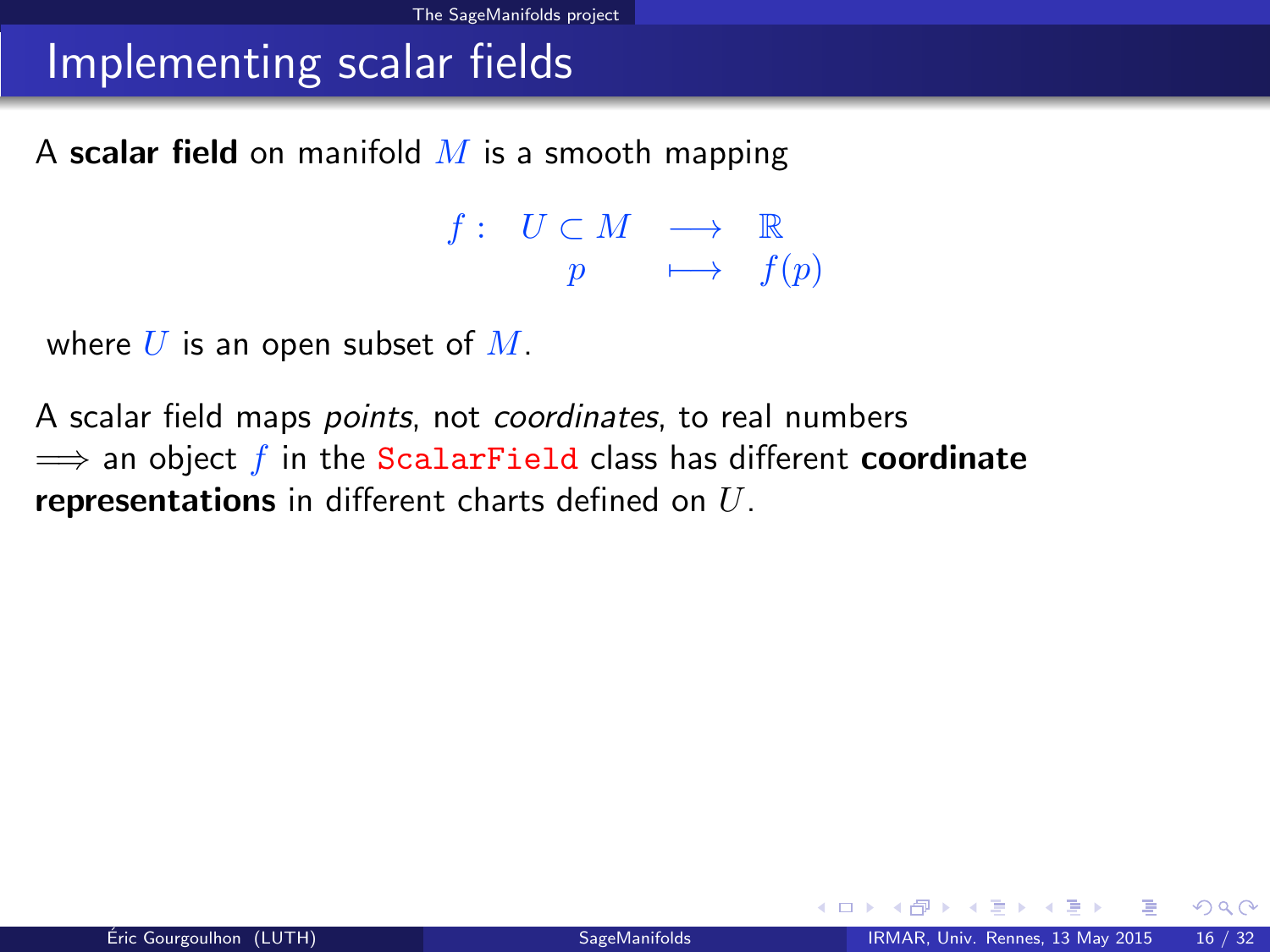## Implementing scalar fields

A scalar field on manifold  $M$  is a smooth mapping

 $f: U \subset M \longrightarrow \mathbb{R}$  $p \longrightarrow f(p)$ 

where  $U$  is an open subset of  $M$ .

A scalar field maps *points*, not *coordinates*, to real numbers  $\implies$  an object f in the ScalarField class has different **coordinate** representations in different charts defined on  $U$ .

<span id="page-25-0"></span> $QQ$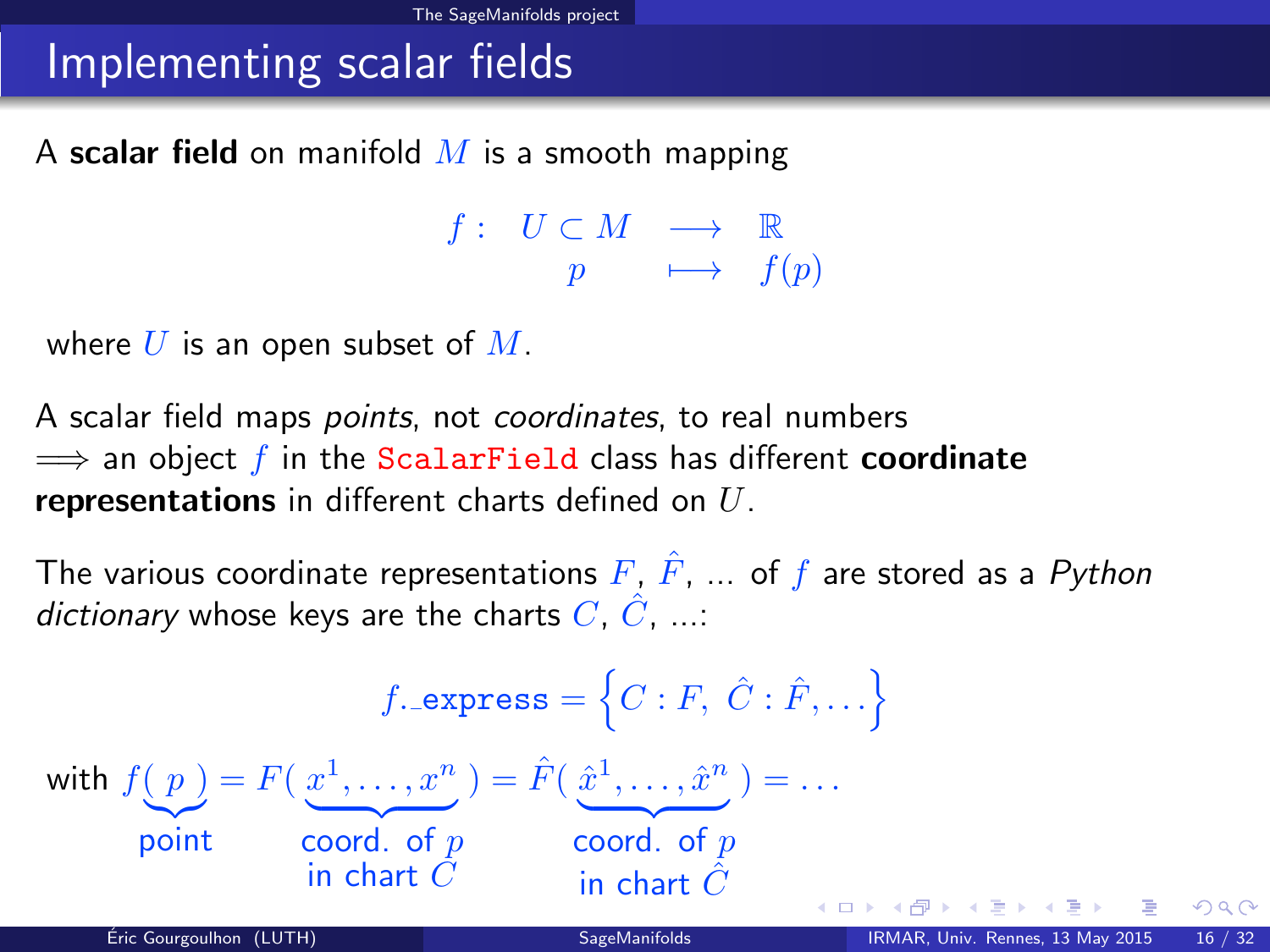# Implementing scalar fields

A scalar field on manifold  $M$  is a smooth mapping

<span id="page-26-0"></span> $f: U \subset M \longrightarrow \mathbb{R}$  $p \longrightarrow f(p)$ 

where  $U$  is an open subset of  $M$ .

A scalar field maps *points*, not *coordinates*, to real numbers  $\implies$  an object f in the ScalarField class has different coordinate representations in different charts defined on  $U$ .

The various coordinate representations  $F, \hat{F}, \dots$  of f are stored as a Python dictionary whose keys are the charts  $C, \hat{C}, \dots$ 

$$
f.\text{express} = \left\{C : F, \ C : \hat{F}, \dots\right\}
$$
\n
$$
\text{with } f(p) = F\left(\frac{x^1}{\dots}, \frac{x^n}{\dots}\right) = \hat{F}\left(\frac{\hat{x}^1}{\dots}, \frac{\hat{x}^n}{\dots}\right) = \dots
$$
\n
$$
\text{point} \quad \text{coord. of } p \quad \text{coord. of } p \quad \text{in chart } \hat{C}
$$
\n
$$
\text{Eiric Gourgoulhon (LUTH)} \quad \text{SagelMantfolds}
$$
\n
$$
\text{RMAR, Univ. Rennes, 13 May 2015} = \text{CQCD} \times \text{CQCD} \times \text{CQCD} \times \text{CQCD} \times \text{CQCD} \times \text{CQCD} \times \text{CQCD} \times \text{CQCD} \times \text{CQCD} \times \text{CQCD} \times \text{CQCD} \times \text{CQCD} \times \text{CQCD} \times \text{CQCD} \times \text{CQCD} \times \text{CQCD} \times \text{CQCD} \times \text{CQCD} \times \text{CQCD} \times \text{CQCD} \times \text{CQCD} \times \text{CQCD} \times \text{CQCD} \times \text{CQCD} \times \text{CQCD} \times \text{CQCD} \times \text{CQCD} \times \text{CQCD} \times \text{CQCD} \times \text{CQCD} \times \text{CQCD} \times \text{CQCD} \times \text{CQCD} \times \text{CQCD} \times \text{CQCD} \times \text{CQCD} \times \text{CQCD} \times \text{CQCD} \times \text{CQCD} \times \text{CQCD} \times \text{CQCD} \times \text{CQCD} \times \text{CQCD} \times \text{CQCD} \times \text{CQCD} \times \text{CQCD} \times \text{CQCD} \times \text{CQCD} \times \text{CQCD} \times \text{CQCD} \times \text{CQCD} \times \text{CQCD} \times \text{CQCD} \times \text{CQCD} \times \text{CQCD} \times \text{CQCD} \times \text{CQCD} \times \text{CQCD} \times \text{CQCD} \times \text{CQCD} \times \
$$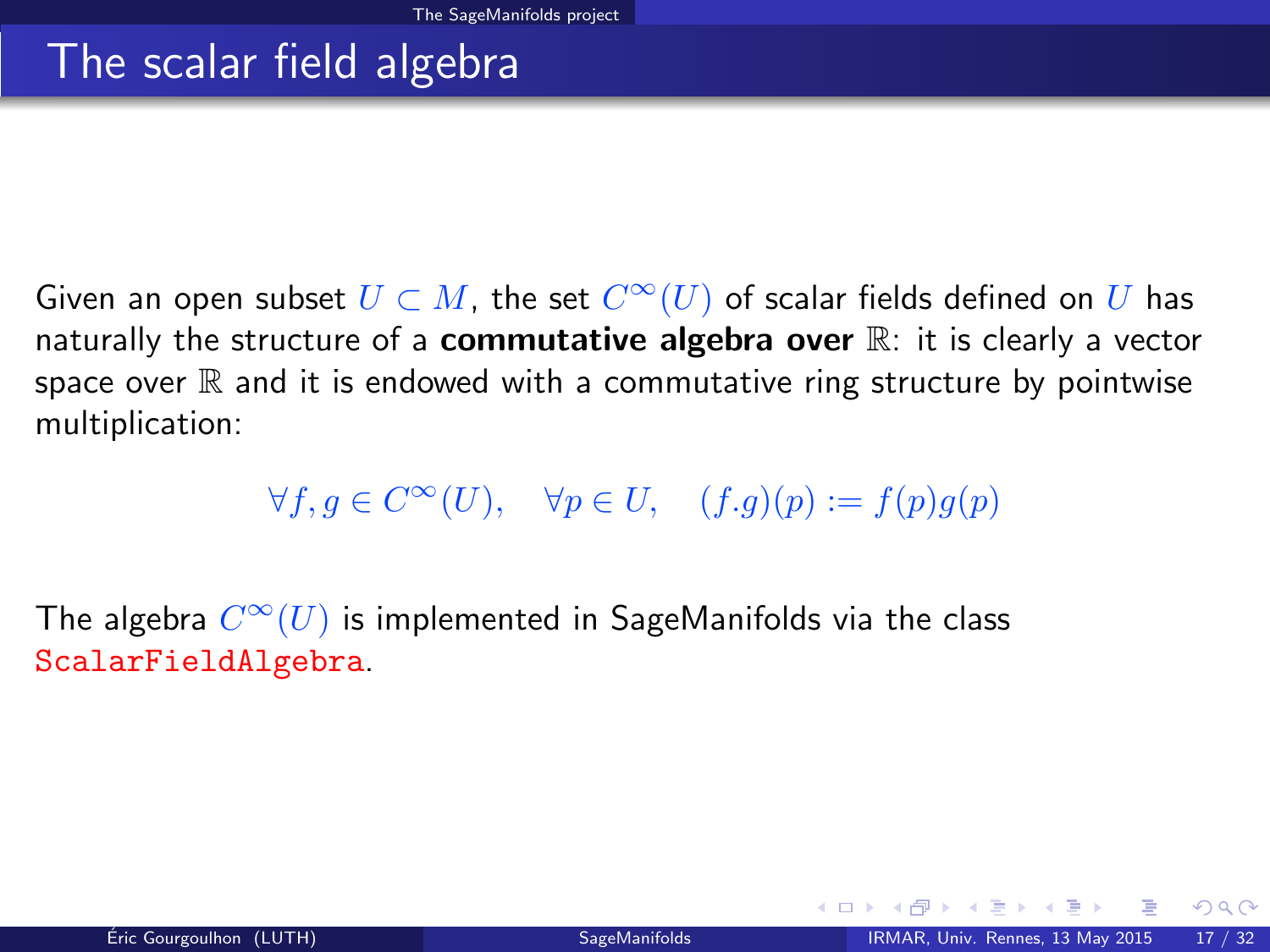### The scalar field algebra

Given an open subset  $U \subset M$ , the set  $C^\infty(U)$  of scalar fields defined on  $U$  has naturally the structure of a **commutative algebra over**  $\mathbb{R}$ : it is clearly a vector space over  $\mathbb R$  and it is endowed with a commutative ring structure by pointwise multiplication:

<span id="page-27-0"></span> $\forall f, g \in C^{\infty}(U), \quad \forall p \in U, \quad (f.g)(p) := f(p)g(p)$ 

The algebra  $C^\infty(U)$  is implemented in SageManifolds via the class ScalarFieldAlgebra.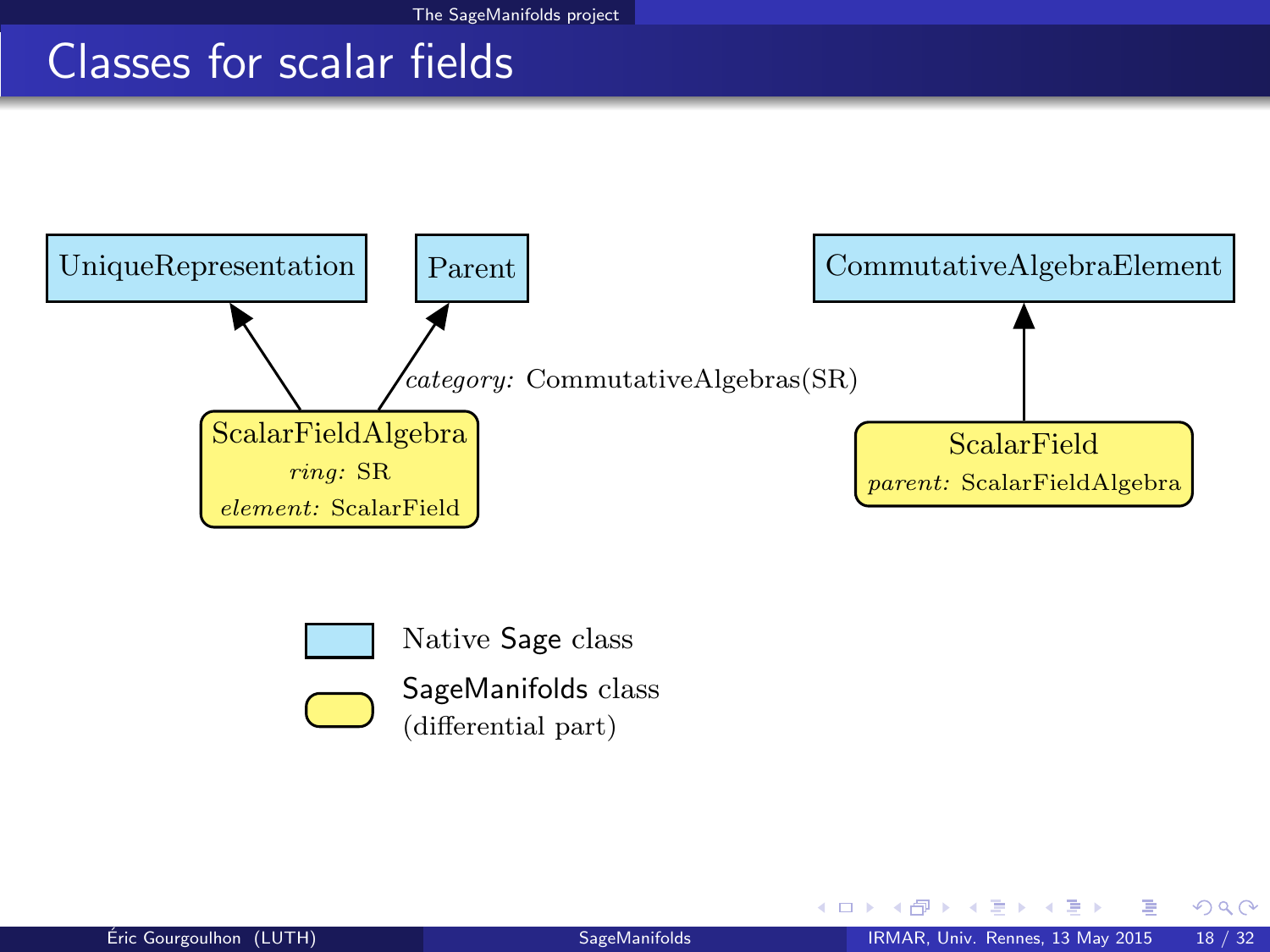# Classes for scalar fields





Native Sage class



SageManifolds class (differential part)

<span id="page-28-0"></span>4 0 8 1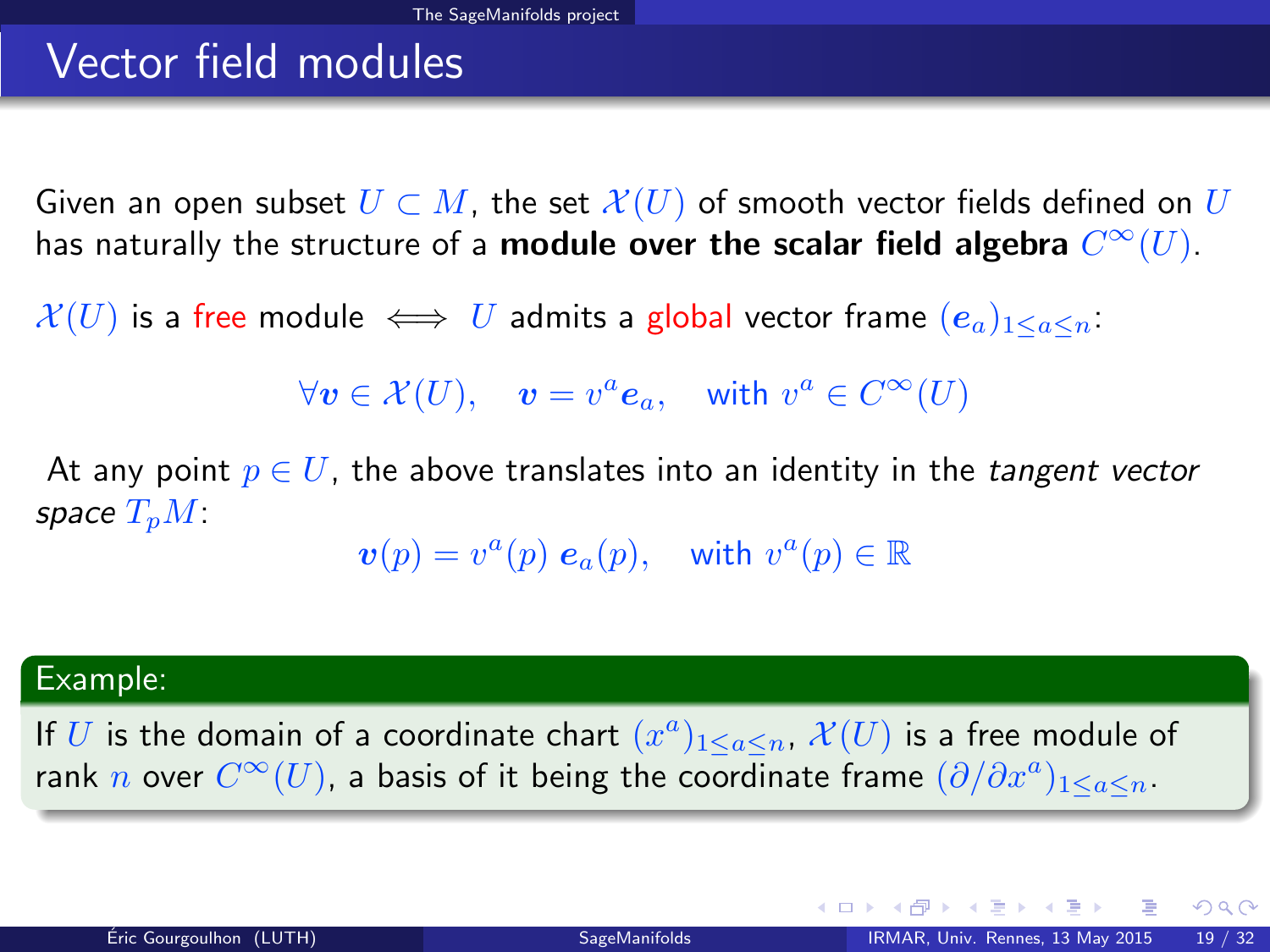# Vector field modules

Given an open subset  $U \subset M$ , the set  $\mathcal{X}(U)$  of smooth vector fields defined on U has naturally the structure of a **module over the scalar field algebra**  $C^\infty(U).$ 

 $\mathcal{X}(U)$  is a free module  $\iff U$  admits a global vector frame  $(e_a)_{1\leq a\leq n}$ .

 $\forall v \in \mathcal{X}(U), \quad v = v^a \mathbf{e}_a, \quad \text{with } v^a \in C^\infty(U)$ 

At any point  $p \in U$ , the above translates into an identity in the *tangent vector* space  $T_pM$ :

 $\boldsymbol{v}(p) = v^a(p) \; \boldsymbol{e}_a(p), \quad \text{with } v^a(p) \in \mathbb{R}$ 

#### Example:

If U is the domain of a coordinate chart  $(x^a)_{1\leq a\leq n}$ ,  $\mathcal{X}(U)$  is a free module of rank  $n$  over  $C^\infty(U)$ , a basis of it being the coordinate frame  $(\partial/\partial x^a)_{1\leq a\leq n}.$ 

<span id="page-29-0"></span> $2990$ 

メロメ メ御き メミメ メミメ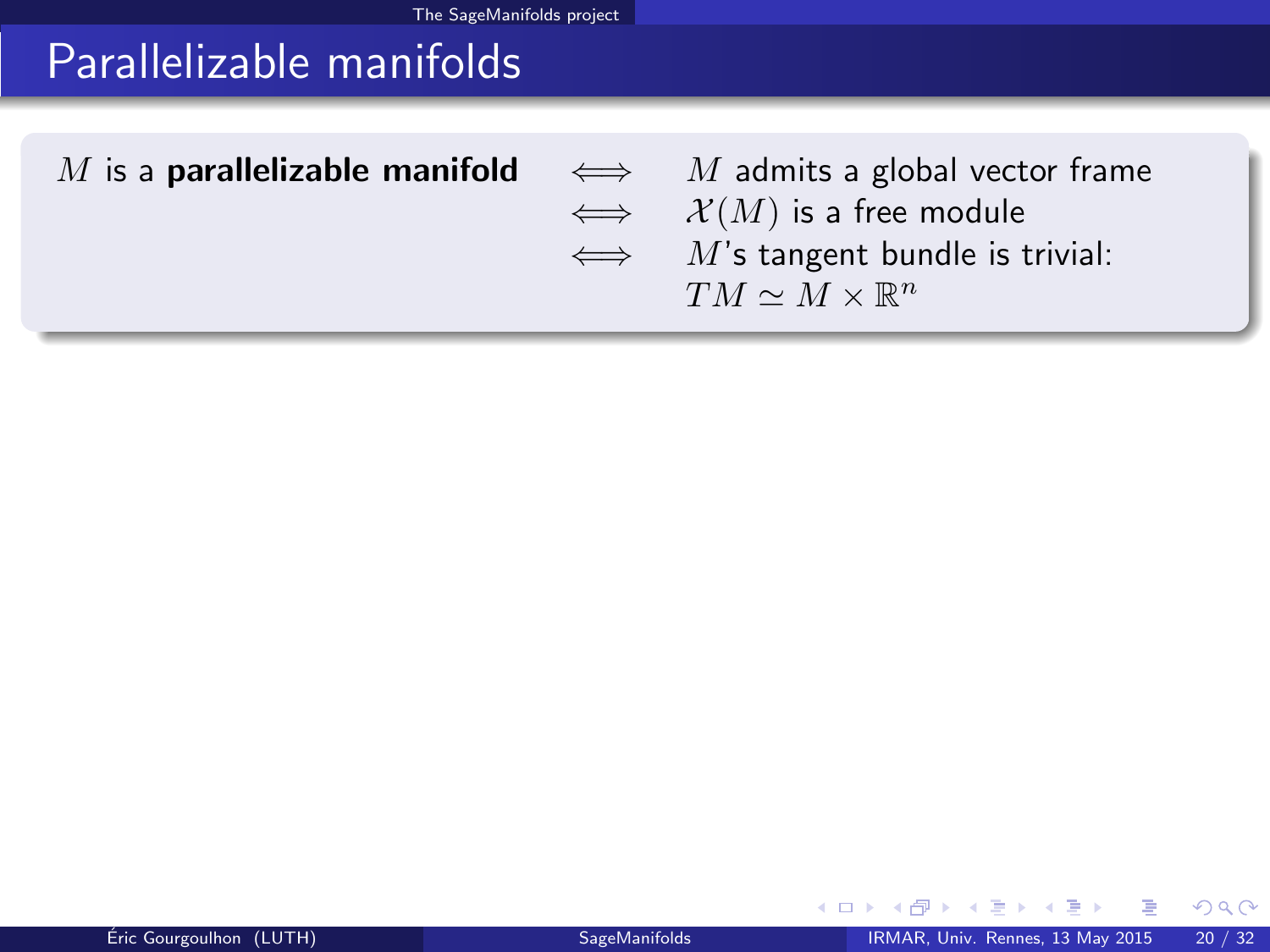# Parallelizable manifolds

| M is a <b>parallelizable manifold</b> $\iff$ M admits a global vector frame |                                          |
|-----------------------------------------------------------------------------|------------------------------------------|
|                                                                             | $\iff$ $\mathcal{X}(M)$ is a free module |
|                                                                             | $\iff$ M's tangent bundle is trivial:    |
|                                                                             | $TM \sim M \times \mathbb{R}^n$          |
|                                                                             |                                          |

4 0 8 4 同  $\sim$ э  $\sim$  <span id="page-30-0"></span> $299$ 

ŧ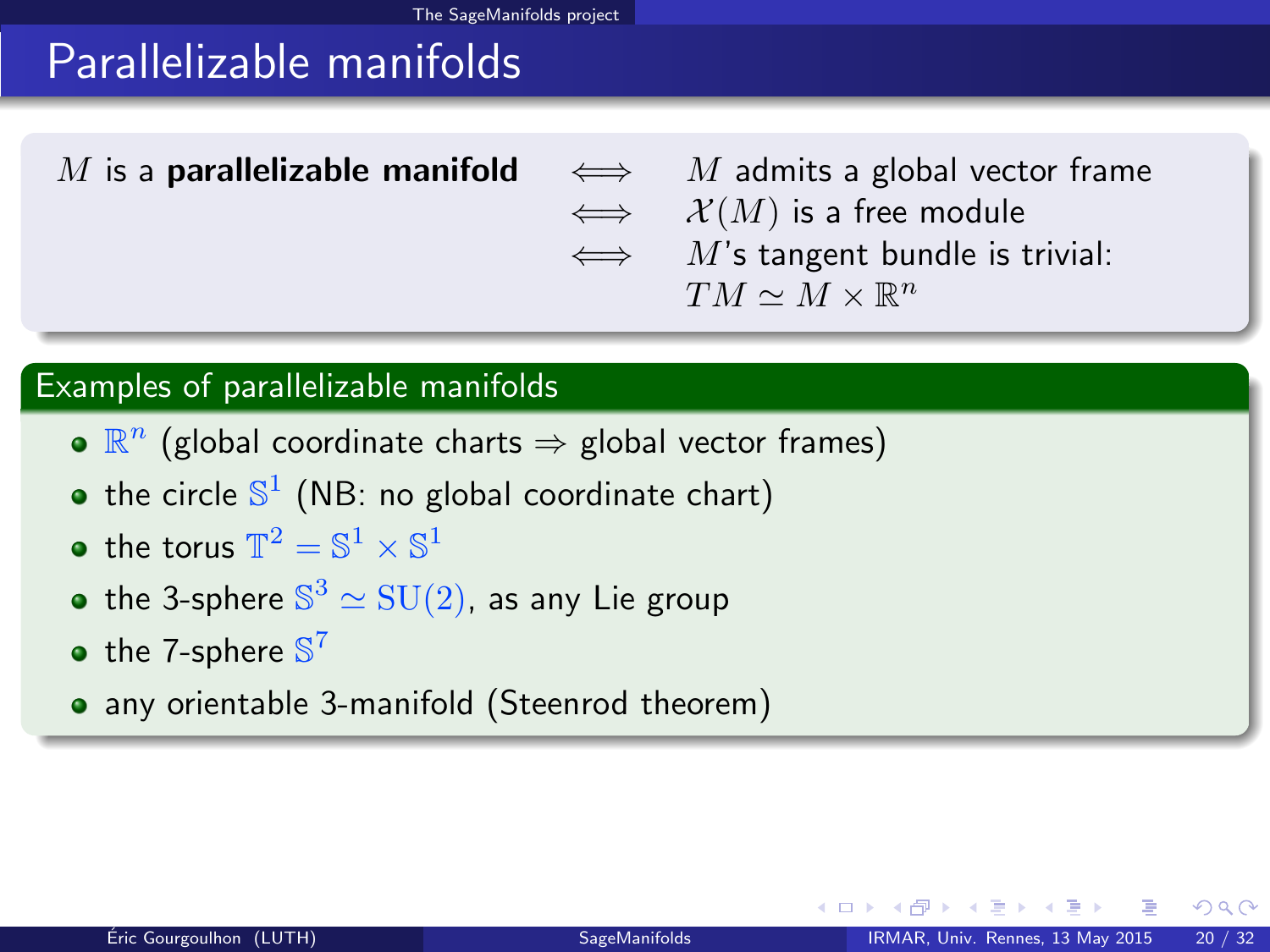# Parallelizable manifolds

M is a **parallelizable manifold**  $\iff$  M admits a global vector frame  $\iff$   $\mathcal{X}(M)$  is a free module  $\iff$  M's tangent bundle is trivial:  $TM \simeq M \times \mathbb{R}^n$ 

#### Examples of parallelizable manifolds

- $\mathbb{R}^n$  (global coordinate charts  $\Rightarrow$  global vector frames)
- the circle  $\mathbb{S}^1$  (NB: no global coordinate chart)
- the torus  $\mathbb{T}^2 = \mathbb{S}^1 \times \mathbb{S}^1$
- the 3-sphere  $\mathbb{S}^3 \simeq \mathrm{SU}(2)$ , as any Lie group
- the 7-sphere  $\mathbb{S}^7$
- <span id="page-31-0"></span>• any orientable 3-manifold (Steenrod theorem)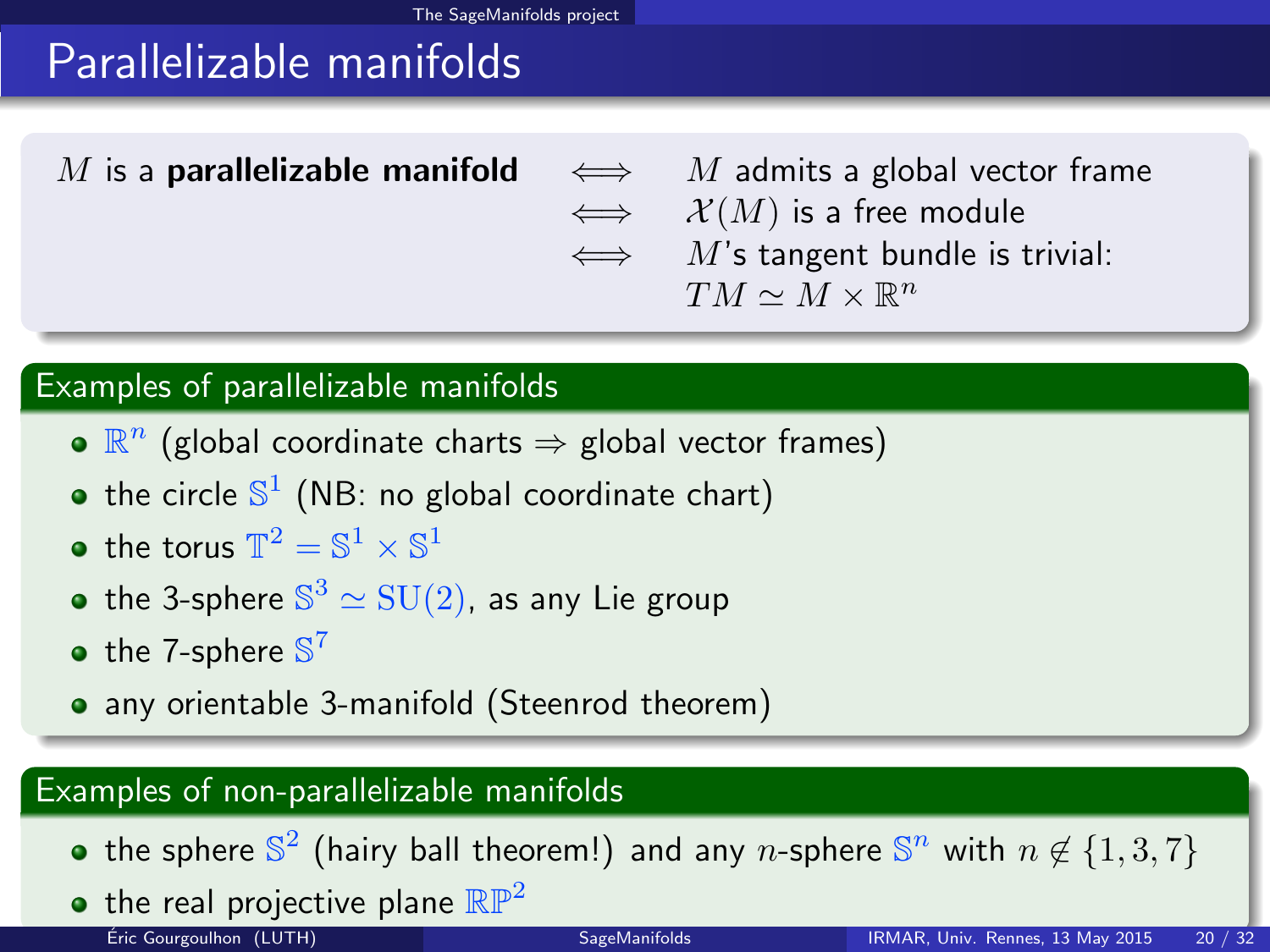# Parallelizable manifolds

M is a **parallelizable manifold**  $\iff$  M admits a global vector frame  $\iff$   $\mathcal{X}(M)$  is a free module  $\iff$  M's tangent bundle is trivial:  $TM \simeq M \times \mathbb{R}^n$ 

#### Examples of parallelizable manifolds

- $\mathbb{R}^n$  (global coordinate charts  $\Rightarrow$  global vector frames)
- the circle  $\mathbb{S}^1$  (NB: no global coordinate chart)
- the torus  $\mathbb{T}^2 = \mathbb{S}^1 \times \mathbb{S}^1$
- the 3-sphere  $\mathbb{S}^3 \simeq \mathrm{SU}(2)$ , as any Lie group
- the 7-sphere  $\mathbb{S}^7$
- any orientable 3-manifold (Steenrod theorem)

#### Examples of non-parallelizable manifolds

- the sphere  $\mathbb{S}^2$  (hairy ball theorem!) and any n-sphere  $\mathbb{S}^n$  with  $n \not\in \{1,3,7\}$
- <span id="page-32-0"></span>• the real projective plane  $\mathbb{RP}^2$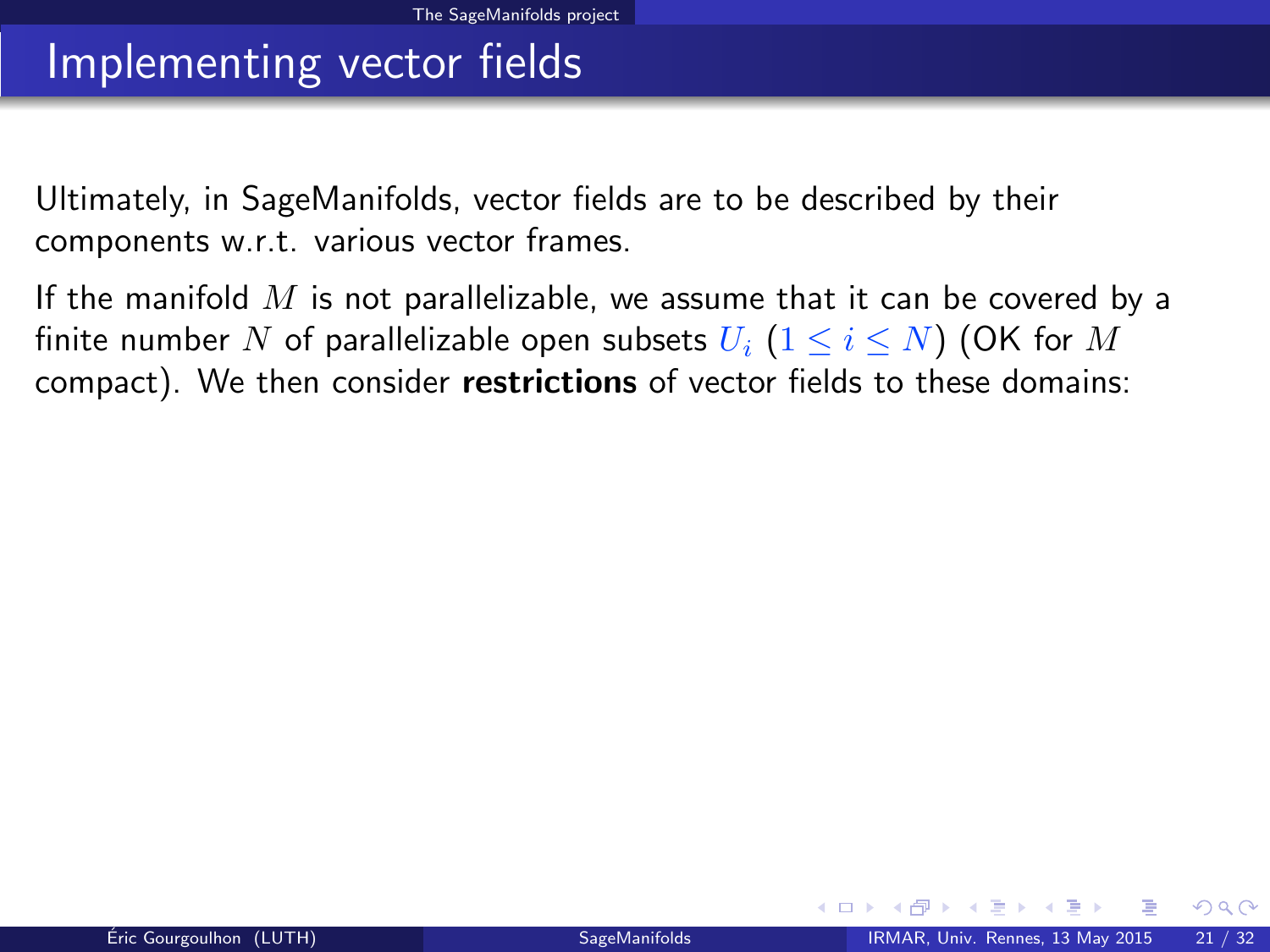## Implementing vector fields

Ultimately, in SageManifolds, vector fields are to be described by their components w.r.t. various vector frames.

<span id="page-33-0"></span>If the manifold  $M$  is not parallelizable, we assume that it can be covered by a finite number N of parallelizable open subsets  $U_i$   $(1 \le i \le N)$  (OK for M compact). We then consider restrictions of vector fields to these domains: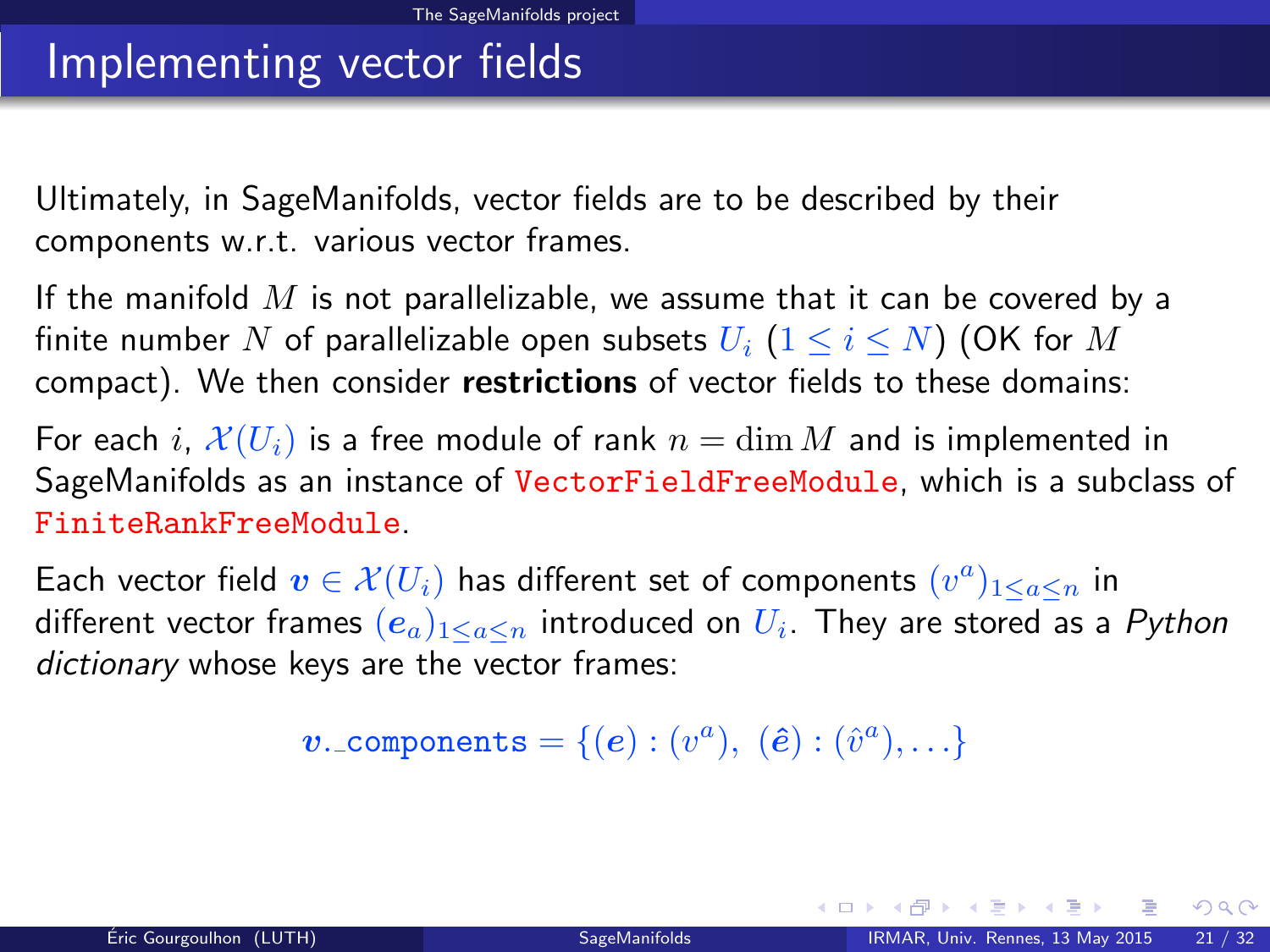## Implementing vector fields

Ultimately, in SageManifolds, vector fields are to be described by their components w.r.t. various vector frames.

If the manifold  $M$  is not parallelizable, we assume that it can be covered by a finite number N of parallelizable open subsets  $U_i$   $(1 \le i \le N)$  (OK for M compact). We then consider restrictions of vector fields to these domains:

For each i,  $\mathcal{X}(U_i)$  is a free module of rank  $n = \dim M$  and is implemented in SageManifolds as an instance of VectorFieldFreeModule, which is a subclass of FiniteRankFreeModule.

Each vector field  $\boldsymbol{v} \in \mathcal{X}(U_i)$  has different set of components  $(v^a)_{1 \leq a \leq n}$  in different vector frames  $(e_a)_{1\leq a\leq n}$  introduced on  $U_i$ . They are stored as a  $Python$ dictionary whose keys are the vector frames:

<span id="page-34-0"></span> $\boldsymbol{v}$ . components =  $\{(\boldsymbol{e}): (v^a),\; (\hat{\boldsymbol{e}}): (\hat{v}^a), \ldots\}$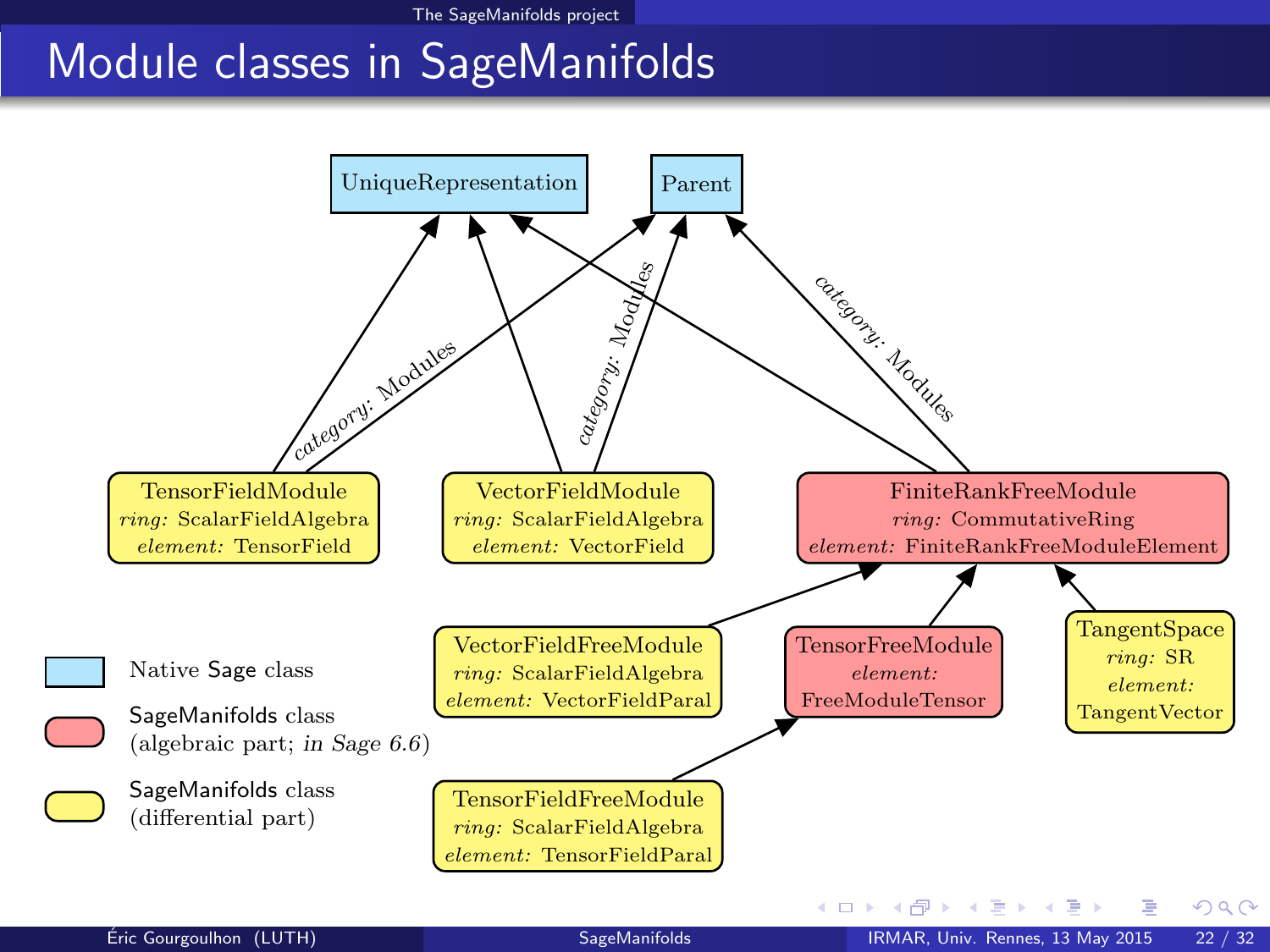# <span id="page-35-0"></span>Module classes in SageManifolds

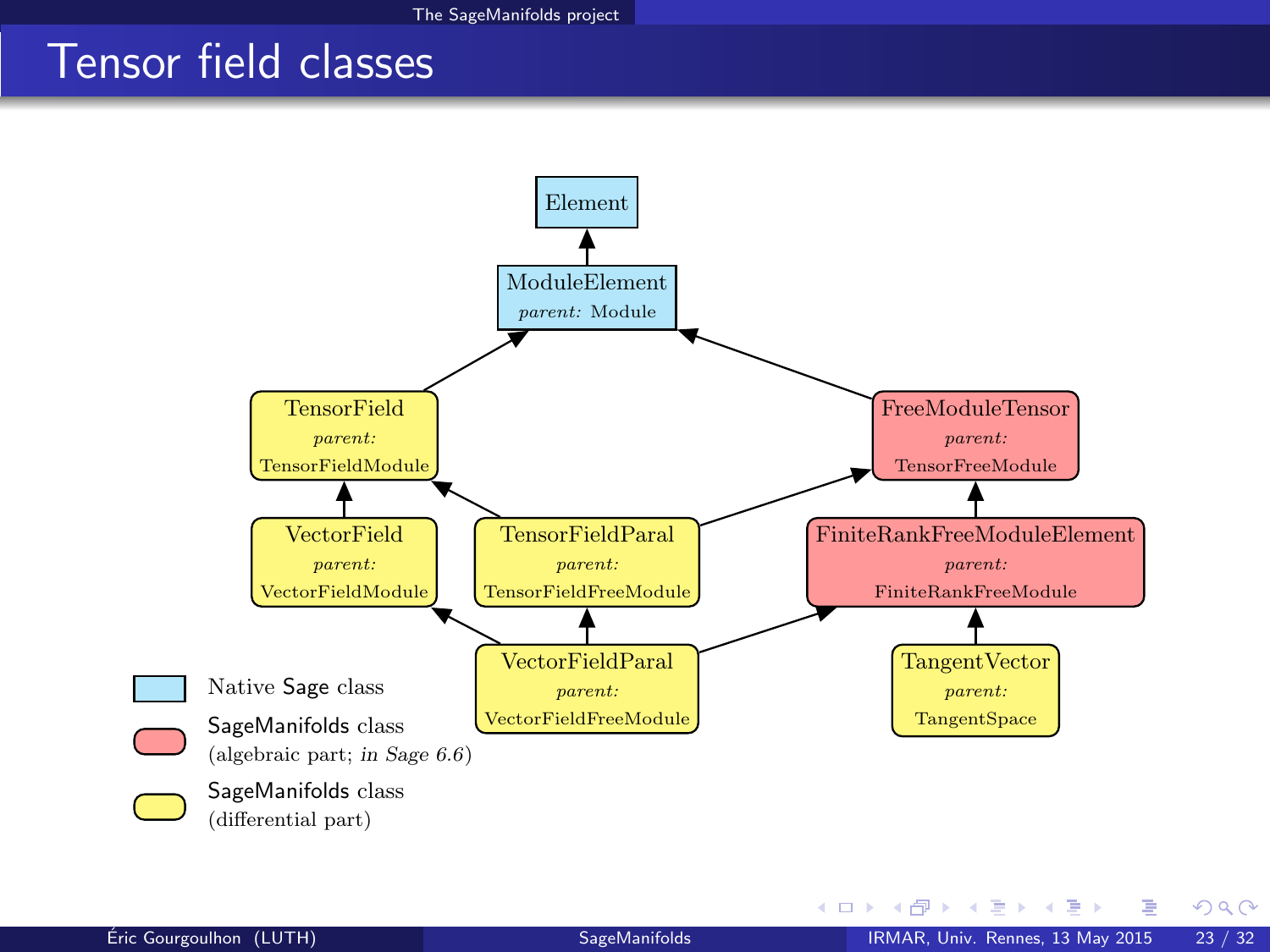### Tensor field classes



<span id="page-36-0"></span> $-4.29 + 4.$ 

**K ロ ト K 何 ト**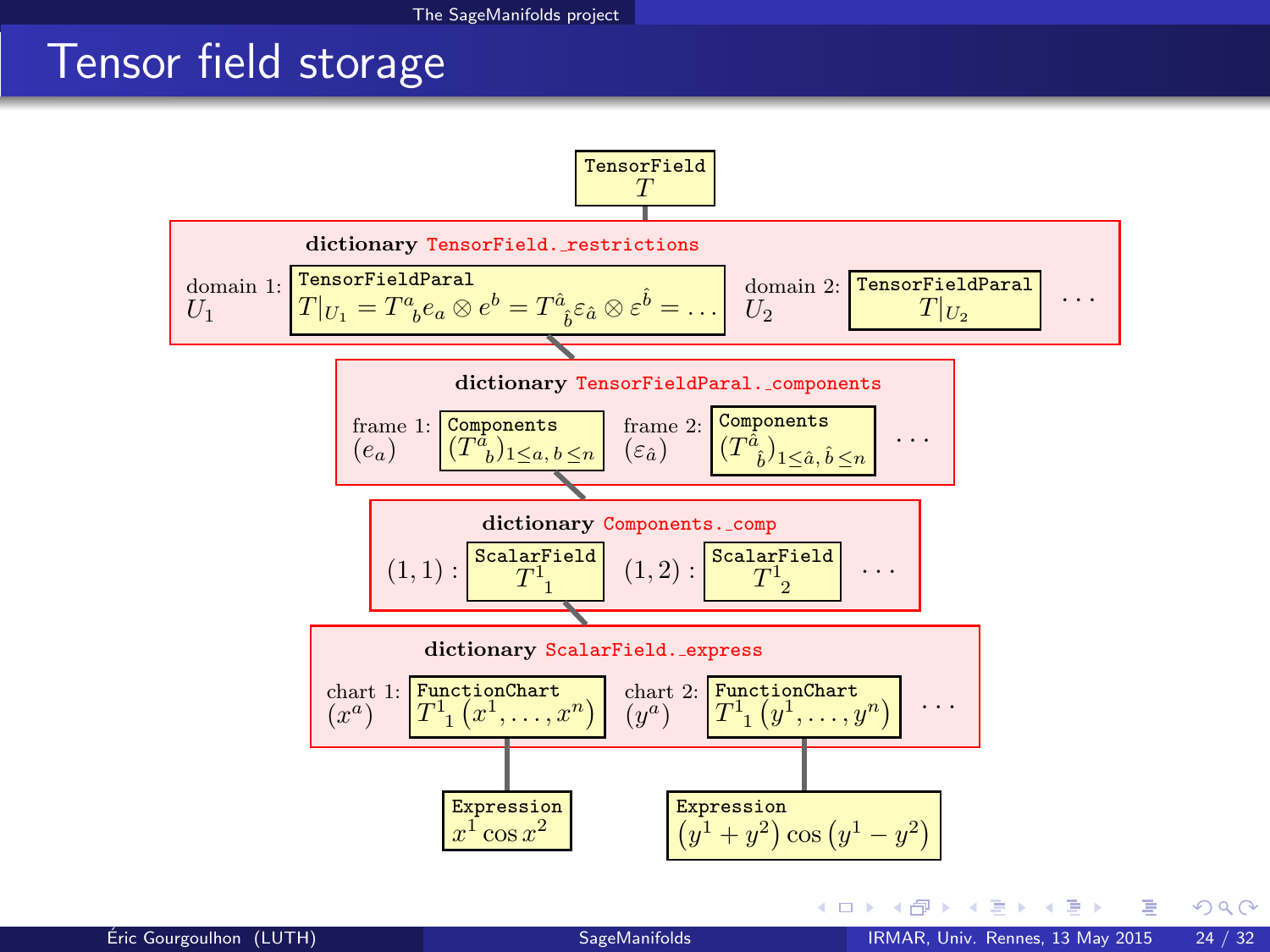## Tensor field storage

<span id="page-37-0"></span>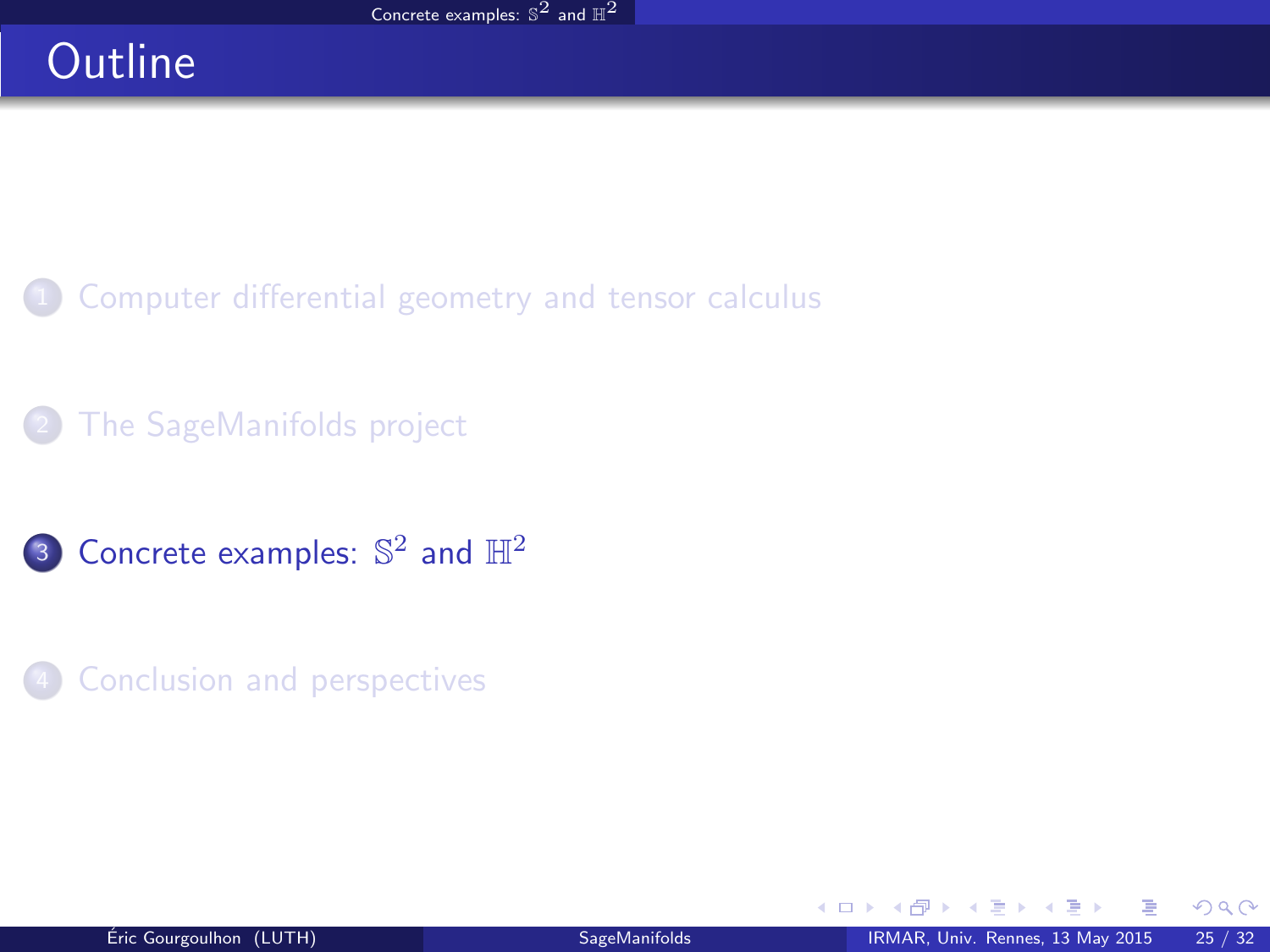# **Outline**

- [Computer differential geometry and tensor calculus](#page-2-0)
- [The SageManifolds project](#page-17-0)
- 3 [Concrete examples:](#page-38-0)  $\mathbb{S}^2$  and  $\mathbb{H}^2$
- **[Conclusion and perspectives](#page-41-0)**

<span id="page-38-0"></span>4 日下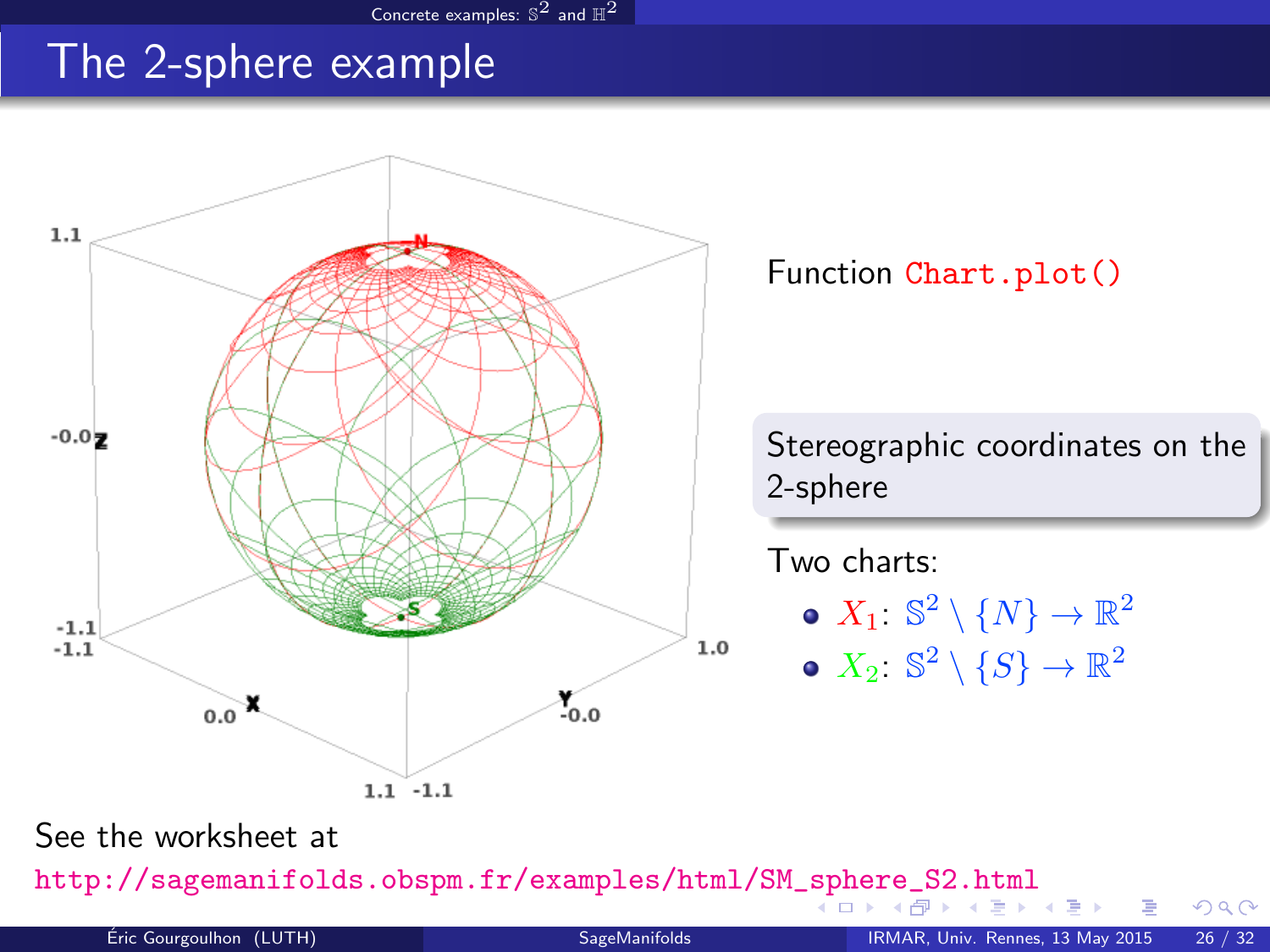#### [Concrete examples:](#page-39-0)  $\mathbb{S}^2$  and  $\mathbb{H}^2$

### The 2-sphere example



<span id="page-39-0"></span>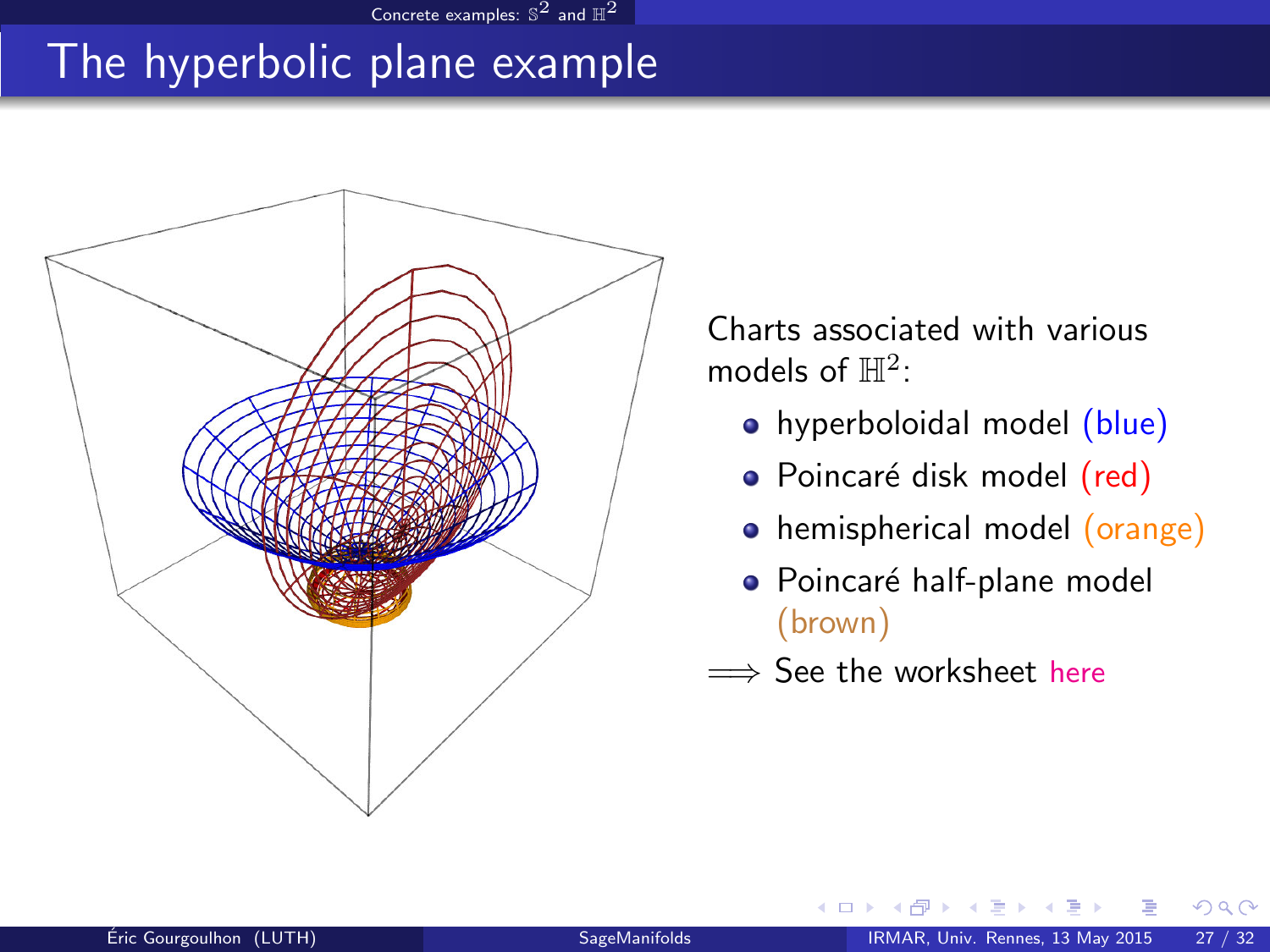# The hyperbolic plane example

[Concrete examples:](#page-40-0)  $\mathbb{S}^2$  and  $\mathbb{H}^2$ 



Charts associated with various models of  $\mathbb{H}^2$ :

- hyperboloidal model (blue)
- Poincaré disk model (red)
- hemispherical model (orange)
- · Poincaré half-plane model (brown)
- =⇒ See the worksheet [here](http://nbviewer.ipython.org/github/sagemanifolds/SageManifolds/blob/master/Worksheets/v0.8/SM_hyperbolic_plane.ipynb)

<span id="page-40-0"></span> $\leftarrow$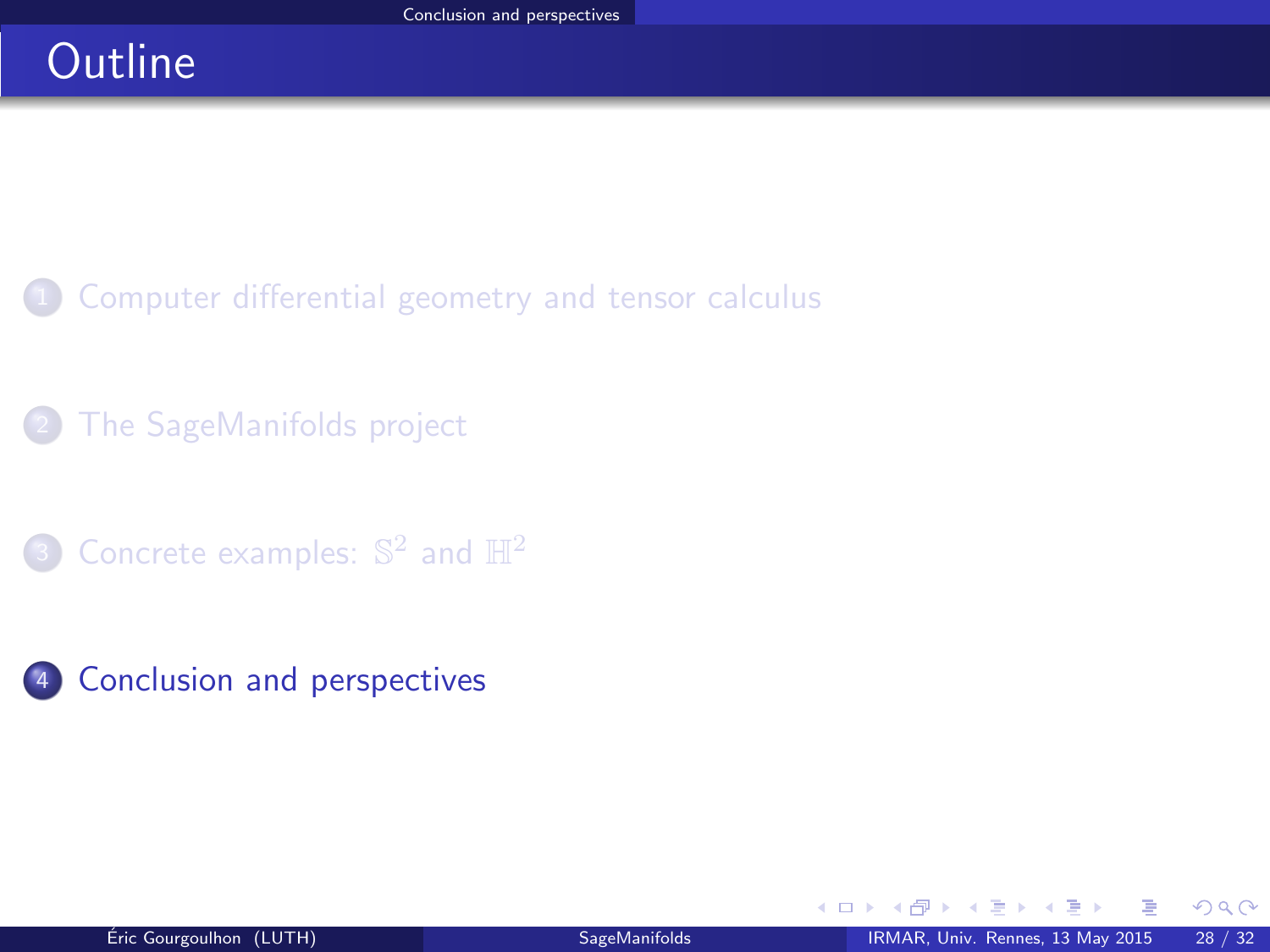# **Outline**

- [Computer differential geometry and tensor calculus](#page-2-0)
- [The SageManifolds project](#page-17-0)
- 3 [Concrete examples:](#page-38-0)  $\mathbb{S}^2$  and  $\mathbb{H}^2$
- 4 [Conclusion and perspectives](#page-41-0)

<span id="page-41-0"></span> $\Omega$ 

э  $\sim$ 

4 日下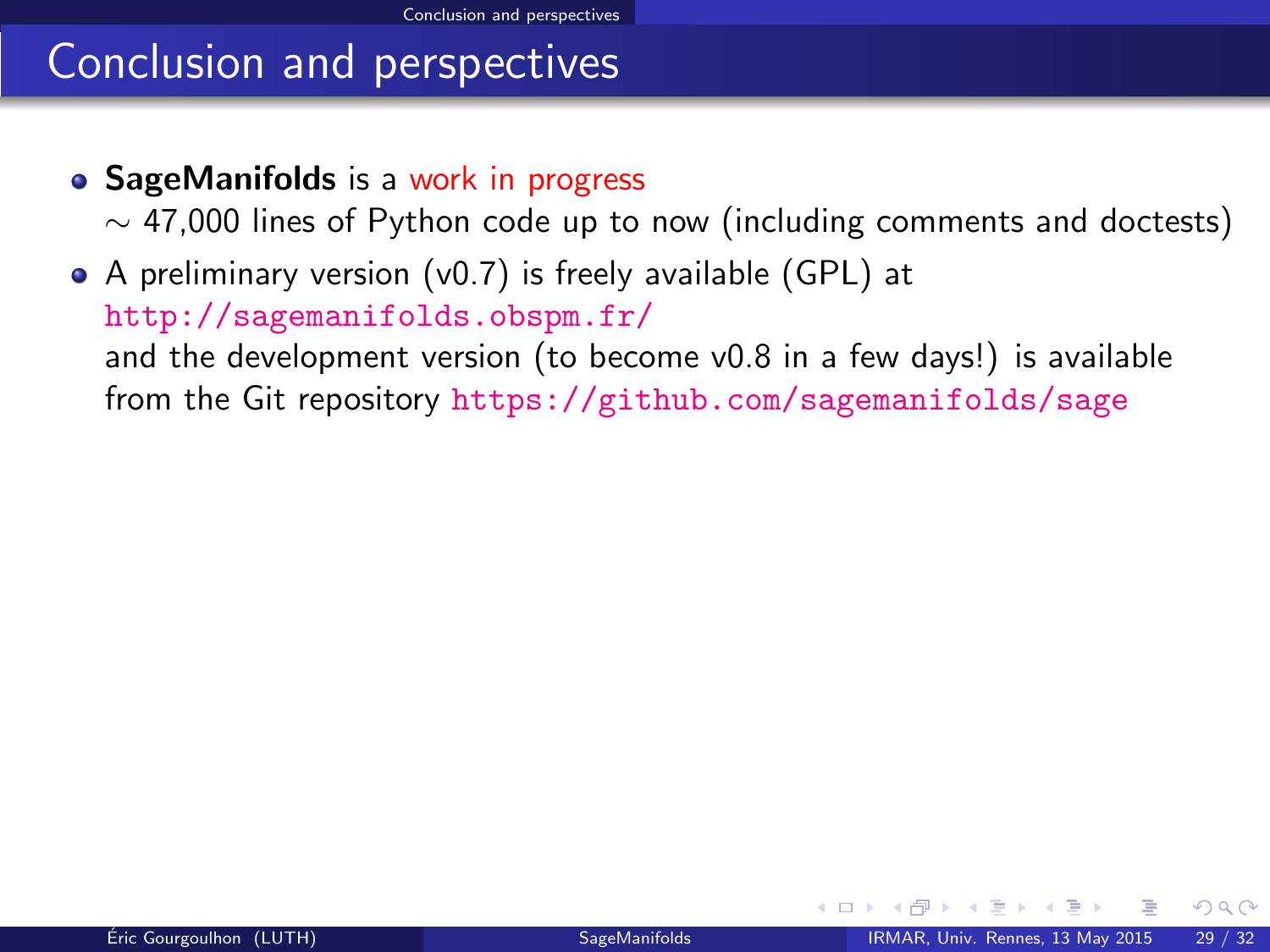# Conclusion and perspectives

• SageManifolds is a work in progress

<span id="page-42-0"></span> $\sim$  47,000 lines of Python code up to now (including comments and doctests)

A preliminary version (v0.7) is freely available (GPL) at <http://sagemanifolds.obspm.fr/> and the development version (to become v0.8 in a few days!) is available from the Git repository <https://github.com/sagemanifolds/sage>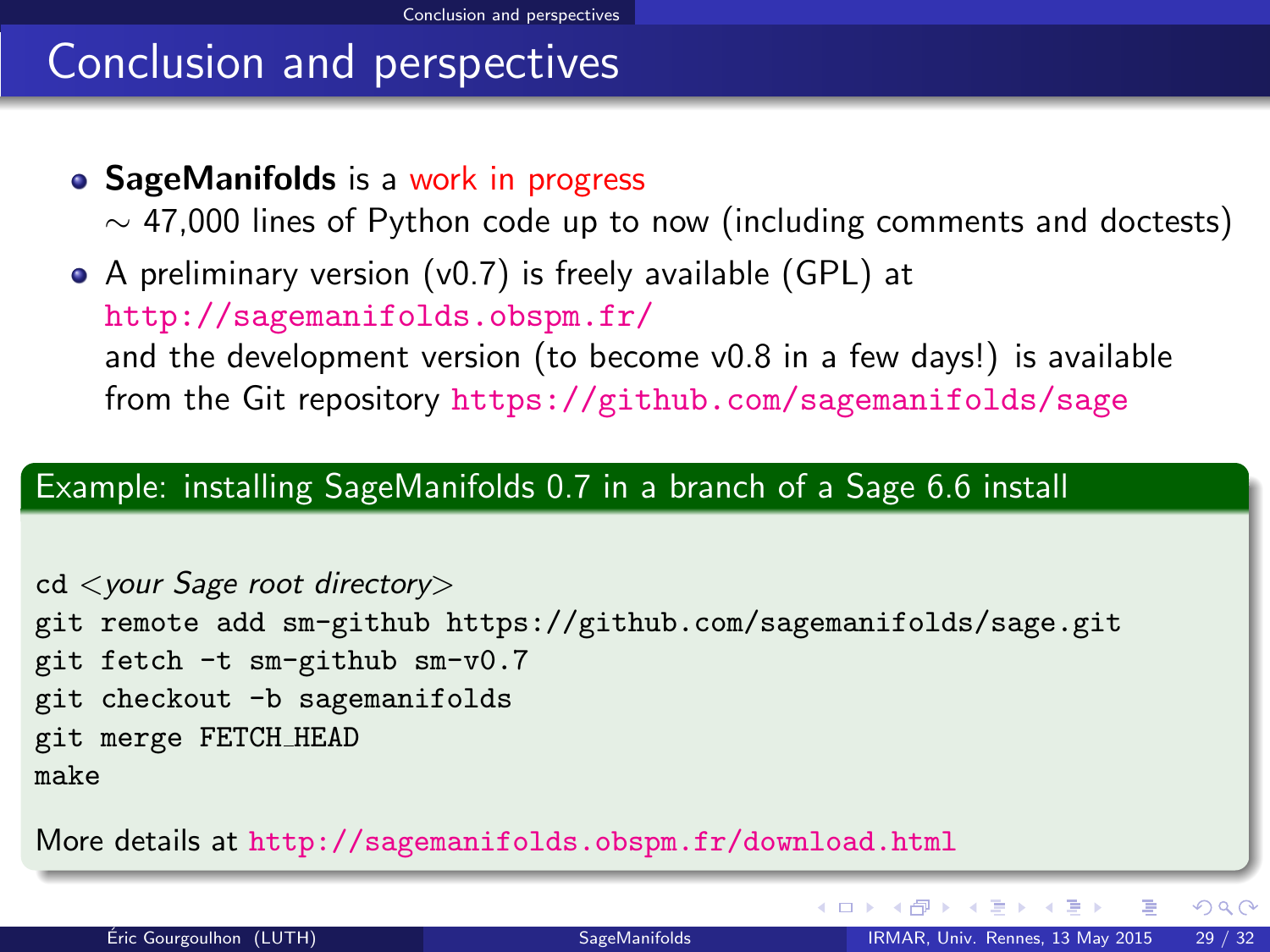# Conclusion and perspectives

• SageManifolds is a work in progress

 $\sim$  47,000 lines of Python code up to now (including comments and doctests)

A preliminary version (v0.7) is freely available (GPL) at <http://sagemanifolds.obspm.fr/> and the development version (to become v0.8 in a few days!) is available from the Git repository <https://github.com/sagemanifolds/sage>

#### Example: installing SageManifolds 0.7 in a branch of a Sage 6.6 install

cd <your Sage root directory> git remote add sm-github<https://github.com/sagemanifolds/sage.git> git fetch -t sm-github sm-v0.7 git checkout -b sagemanifolds git merge FETCH HEAD make

More details at <http://sagemanifolds.obspm.fr/download.html>

<span id="page-43-0"></span>**K ロ ⊁ K 何 ⊁ K ヨ ⊁ K**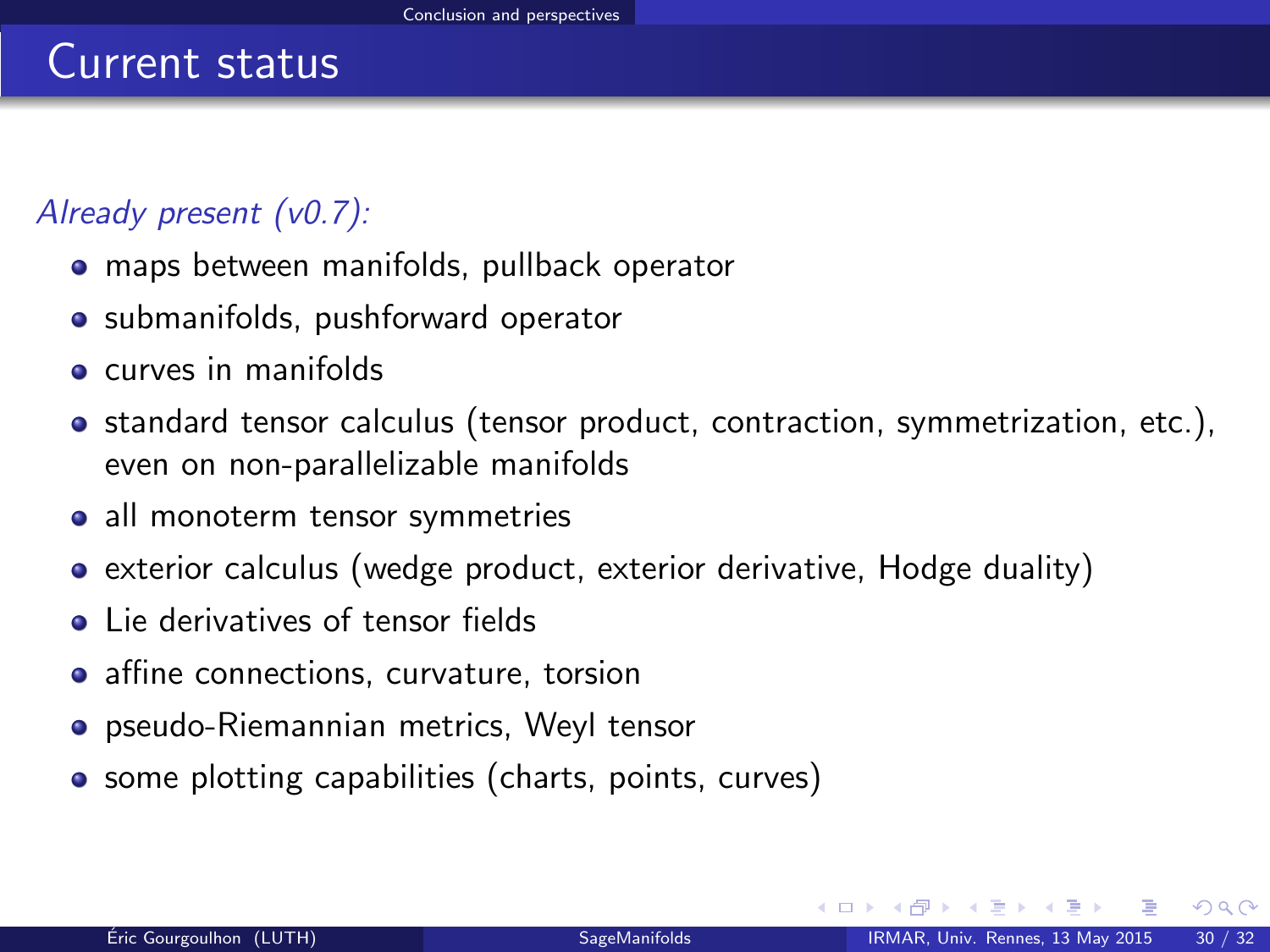### Already present (v0.7):

- maps between manifolds, pullback operator
- submanifolds, pushforward operator
- **e** curves in manifolds
- standard tensor calculus (tensor product, contraction, symmetrization, etc.), even on non-parallelizable manifolds
- all monoterm tensor symmetries
- exterior calculus (wedge product, exterior derivative, Hodge duality)
- **.** Lie derivatives of tensor fields
- affine connections, curvature, torsion
- pseudo-Riemannian metrics, Weyl tensor
- <span id="page-44-0"></span>• some plotting capabilities (charts, points, curves)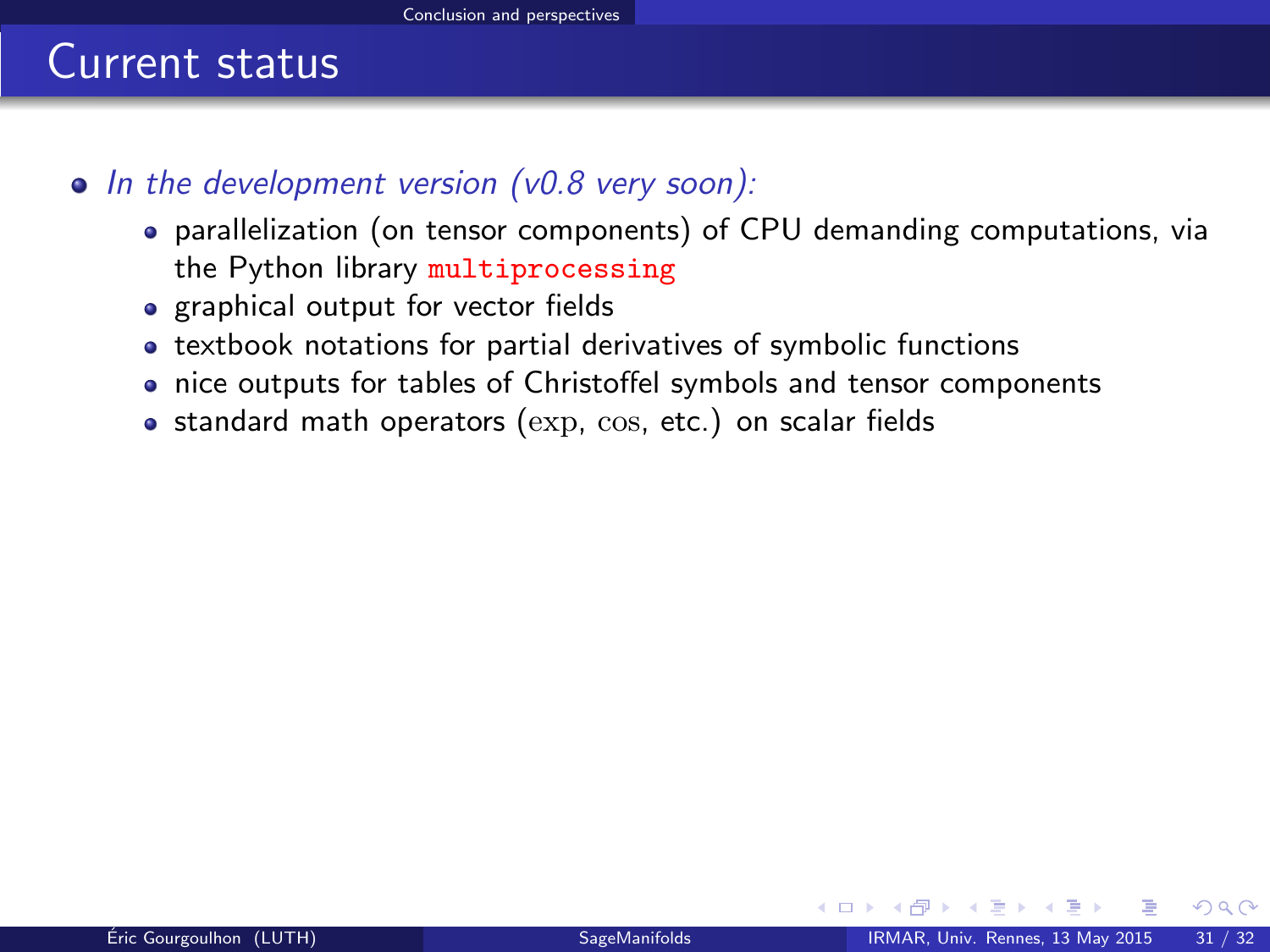- <span id="page-45-0"></span> $\bullet$  In the development version (v0.8 very soon):
	- parallelization (on tensor components) of CPU demanding computations, via the Python library multiprocessing
	- graphical output for vector fields
	- textbook notations for partial derivatives of symbolic functions
	- nice outputs for tables of Christoffel symbols and tensor components
	- $\bullet$  standard math operators ( $\exp$ ,  $\cos$ , etc.) on scalar fields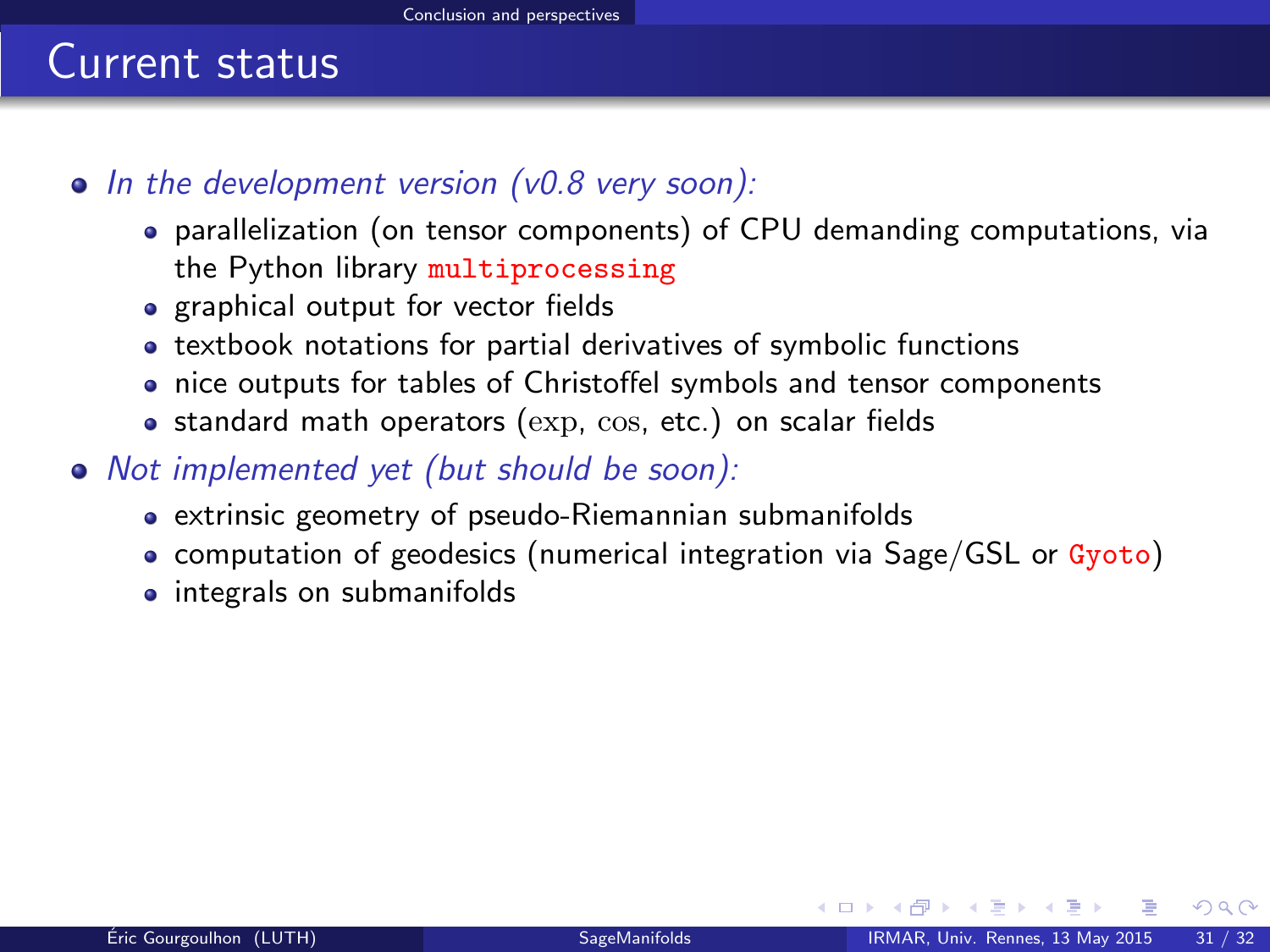- $\bullet$  In the development version (v0.8 very soon):
	- parallelization (on tensor components) of CPU demanding computations, via the Python library multiprocessing
	- graphical output for vector fields
	- textbook notations for partial derivatives of symbolic functions
	- nice outputs for tables of Christoffel symbols and tensor components
	- $\bullet$  standard math operators ( $\exp$ ,  $\cos$ , etc.) on scalar fields
- <span id="page-46-0"></span>• Not implemented yet (but should be soon):
	- extrinsic geometry of pseudo-Riemannian submanifolds
	- computation of geodesics (numerical integration via Sage/GSL or Gyoto)
	- integrals on submanifolds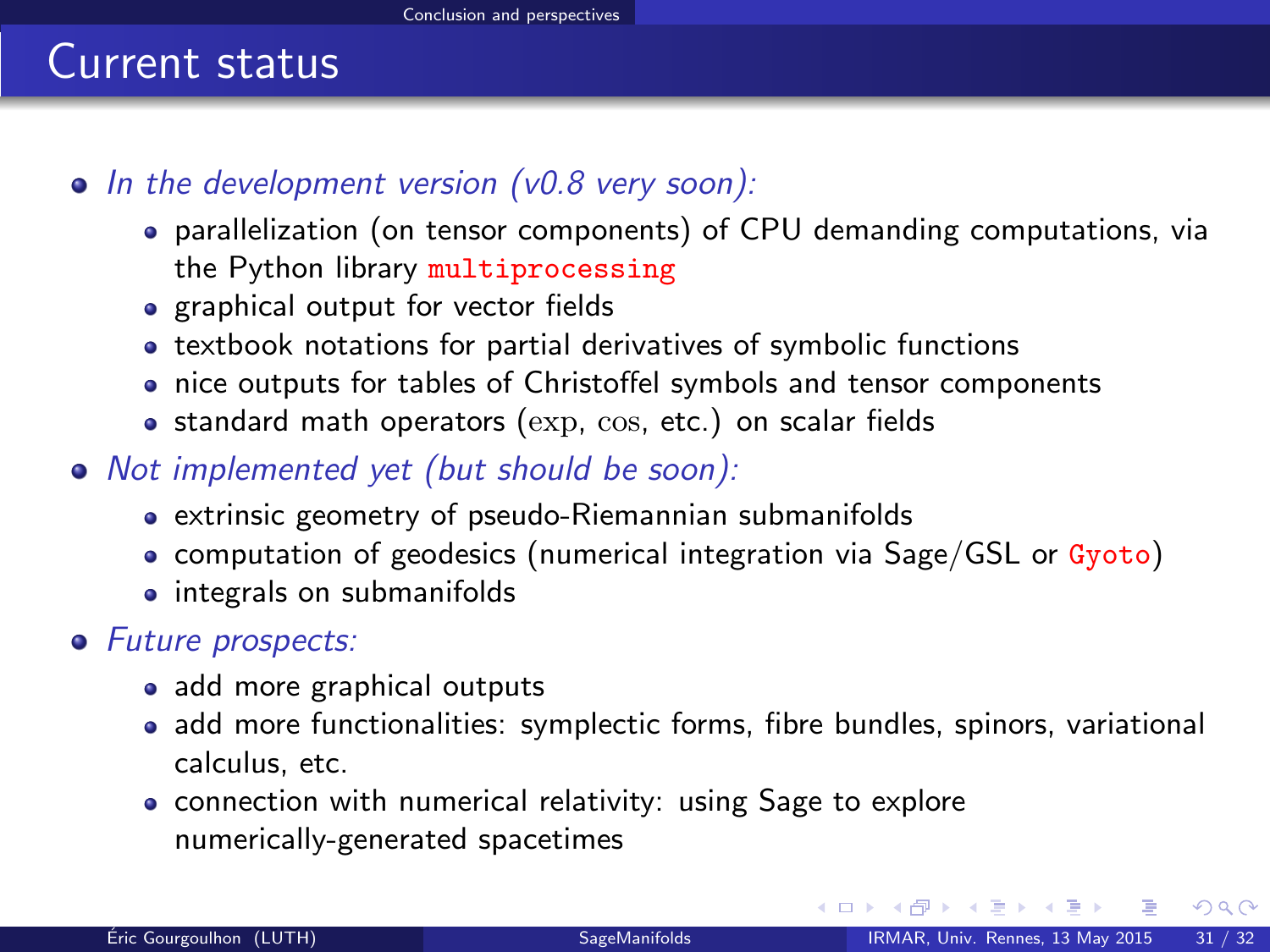- $\bullet$  In the development version (v0.8 very soon):
	- parallelization (on tensor components) of CPU demanding computations, via the Python library multiprocessing
	- graphical output for vector fields
	- textbook notations for partial derivatives of symbolic functions
	- nice outputs for tables of Christoffel symbols and tensor components
	- $\bullet$  standard math operators ( $\exp$ ,  $\cos$ , etc.) on scalar fields
- Not implemented yet (but should be soon):
	- extrinsic geometry of pseudo-Riemannian submanifolds
	- computation of geodesics (numerical integration via Sage/GSL or Gyoto)
	- integrals on submanifolds
- <span id="page-47-0"></span>• Future prospects:
	- add more graphical outputs
	- add more functionalities: symplectic forms, fibre bundles, spinors, variational calculus, etc.
	- connection with numerical relativity: using Sage to explore numerically-generated spacetimes